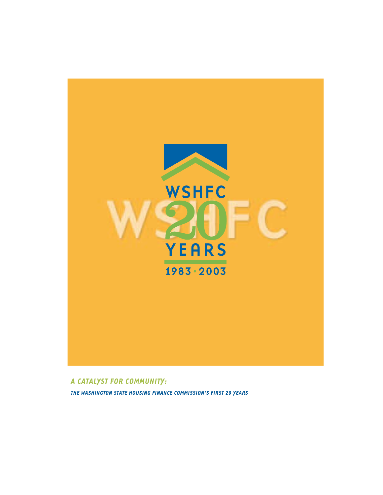

*A CATALYST FOR COMMUNITY:* 

*THE WASHINGTON STATE HOUSING FINANCE COMMISSION'S FIRST 20 YEARS*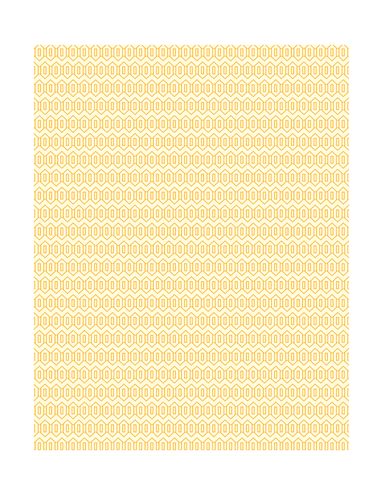$\left[0\right]\left[0\right]\left[0\right]\left[0\right]$ (0)(0)(0)(0) (O)(O)(O)(O)(O)(O)(O)(O)(O)(O)(O)(O)  $\overline{\mathsf{I}}$ ׀׀] ׀׀]  $\left[ \begin{matrix} 0 \end{matrix} \right]$ [D]  $\blacksquare$ I D (1 ⑩  $\left(\mathbb{I}\right)$ ֬׀֜׀׀֘֞׀֚֞ [∏ ∫0 Ō  $\overline{\mathbb{I}}$  $\overline{\mathbb{I}}$  $\overline{\mathbb{I}}$  $\boxed{1}$  $\bm{\mathsf{I}}$  $\left( 0\right)$  $\bm{\mathsf{I}}$  $\bm{\mathsf{I}}$  $\blacksquare$  $\overline{\mathbb{I}}$ Ō O O  $\overline{\mathsf{I}}$ O O  $\overline{\mathbb{I}}$ 面 何  $\boxed{1}$  $\left[ \begin{matrix} 1 \end{matrix} \right]$  $\left( \mathbf{I}\right)$  $\textcolor{blue}{\textbf{0}}\textcolor{blue}{\textbf{1}}\textcolor{blue}{\textbf{1}}\textcolor{blue}{\textbf{1}}\textcolor{blue}{\textbf{1}}\textcolor{blue}{\textbf{1}}\textcolor{blue}{\textbf{1}}\textcolor{blue}{\textbf{1}}\textcolor{blue}{\textbf{1}}\textcolor{blue}{\textbf{1}}\textcolor{blue}{\textbf{1}}\textcolor{blue}{\textbf{1}}\textcolor{blue}{\textbf{1}}\textcolor{blue}{\textbf{1}}\textcolor{blue}{\textbf{1}}\textcolor{blue}{\textbf{1}}\textcolor{blue}{\textbf{1}}\textcolor{blue}{\textbf{1}}\textcolor{$  $\ln$  $\boxed{1}$  $\left[ \begin{matrix} 1 \end{matrix} \right]$  $\left[ \begin{matrix} 1 \end{matrix} \right]$  $\left(\mathbb{I}\right)$  $\left[ \mathbb{I}\right]$  $\overline{\mathbb{I}}$  $\left[ \mathbb{I}\right]$  $\overline{\mathbf{u}}$  $\overline{\mathbf{I}}$ O  $\blacksquare$ Ō  $\boxed{\mathbb{I}}$  $\left[ \begin{matrix} 1 \end{matrix} \right]$  $[{\hspace{-0.3pt}\mathbb{I}}]$  $\left( 0\right)$  $\left(\mathbb{I}\right)$  $\left( 0\right) 0\right)$  $\left( 0 \right)$  $\left[ \begin{matrix} 1 \end{matrix} \right]$  $\left(\mathbb{I}\right)$  $\overline{\mathbf{I}}$  $\blacksquare$  $\bm{\mathsf{I}}$  $\overline{\mathbb{I}}$  $\overline{\mathbf{I}}$ D D 0 D O 0 D 0 0 0 O 0 0 0 0 0 0 0 0 О 0 O  $\left[ \begin{matrix} 1 \end{matrix} \right]$  $\left(\mathbb{I}\right)$  $\left(\mathbb{I}\right)$  $\left(\mathbb{I}\right)$  $\blacksquare$  $\mathbf{I}$  $\left[ \begin{matrix} 1 \end{matrix} \right]$  $\boxed{\mathbb{I}}$  $\left[ \mathbb{I}\right]$  $[{\hspace{0.025cm}} 1]$  $\left[ \mathbb{I}\right]$  $\overline{\mathbf{I}}$  $\overline{\mathbf{I}}$ O O  $\left[ \mathbb{I}\right]$  $\blacksquare$  $\blacksquare$  $\overline{\mathbf{u}}$ 0 0  $\mathbf{I}$ 0 0  $\mathbf{I}$  $\overline{\mathbf{u}}$  $\blacksquare$ O O O O O O 0 0 0 0 0 0 O O  $\pmb{\mathbb{I}}$ 0 0 O 0 0 0 0 O O 0 0 0 0 0 0 0  $\sqrt{a}$  $\mathbf{I}$  $\overline{\mathbb{I}}$  $\overline{\mathbb{I}}$  $\overline{\mathbb{I}}$ <u>ה)</u>  $\left[ \begin{matrix} 1 \end{matrix} \right]$  $\overline{\mathbb{I}}$  $\overline{\mathbb{I}}$  $\left[ \mathbb{I}\right]$ ∬ [∏  $\overline{\mathbf{u}}$  $\overline{\mathbb{I}}$  $\overline{\mathbf{I}}$  $\overline{\mathbf{I}}$  $\overline{\mathbb{I}}$ O  $\overline{\mathbf{u}}$  $\overline{\mathbb{I}}$ 0 0 O O O  $\overline{\mathsf{I}}$ Ō O O O O O O O 0 0  $\left[ \begin{matrix} 1 \end{matrix} \right]$  $\left[ \mathbb{I}\right]$  $\left[ \begin{matrix} 1 \end{matrix} \right]$  $\mathbf{I}$  $\left[ \, \right]$  $\blacksquare$  $\blacksquare$  $\overline{\mathsf{I}}$  $\overline{\mathbf{I}}$  $\mathbf{I}$  $\left[ \rule{0pt}{10pt}\right]$ []]  $\left[ \mathbb{I}\right]$  $\blacksquare$  $\mathbf{I}$  $\mathbf{I}$ 0  $\mathbf{I}$  $\mathbf{I}$ 0 0  $\blacksquare$ 0 0 O  $\overline{\mathbb{I}}$  $\blacksquare$  $\blacksquare$  $\blacksquare$  $\blacksquare$  $\overline{\mathsf{I}}$ O 0 O O O O 0 0 0 0 0 0 0 0  $\blacksquare$ O 0 0 O 0 O 0  $\left[ \mathbb{I}\right]$  $\left[ \mathbb{I}\right]$ 加加  $\overline{\mathbb{I}}$  $\left(\mathbb{I}\right)$  $\overline{\mathbb{I}}$  $\overline{\mathbb{I}}$  $\overline{\mathbb{I}}$  $\left(\mathbb{I}\right)$  $\blacksquare$ O 0 D 0 O  $\overline{\mathbb{I}}$  $\overline{\mathbb{I}}$ O O 0 0 0  $\hat{\mathbb{D}}$ Π  $\overline{\mathbf{I}}$  $\blacksquare$  $\overline{\mathbf{I}}$  $\overline{\mathbf{I}}$ O Π O 0 0 Π 0 O O 0 0 O 0 0 0 0 0 0  $\overline{\mathbf{I}}$  $\overline{\mathbf{u}}$  $\overline{\mathbb{I}}$  $\overline{\mathbf{u}}$  $\overline{\mathbb{I}}$  $\Box$  $\overline{\mathbf{u}}$  $\mathbf{I}$ O  $\overline{\mathbf{u}}$ 0 0 0 0  $\left[ \begin{matrix} 1 \end{matrix} \right]$  $\boxed{0}$  $\left( \right)$  $\left| \mathbb{I} \right|$  $\left| \mathbb{I} \right|$  $\blacksquare$ II D  $\left[ \mathbb{I}\right]$  $\left[ \mathbb{I}\right]$ 0 0 O O 0 0 O O 0 O 0 O O 0  $\left[ \mathbb{I}\right]$  $\boxed{\mathbb{I}}$  $\left[ \mathbb{I}\right]$  $\overline{\mathbb{I}}$  $\blacksquare$  $\overline{\mathbf{I}}$ O  $\overline{\mathbf{I}}$  $\overline{\mathbf{I}}$ O O 0 0 0 0 0 0 O O 0 0 I 0 0 0 O D O O O D D D O D  $\left(\mathbb{I}\right)$  $\left[ \begin{matrix} 1 \end{matrix} \right]$  $\left( 0\right)$  $0(0)$  $\left(\mathbb{I}\right)$  $\overline{\mathbb{I}}$  $\overline{\mathbf{0}}$  $\overline{\mathbf{I}}$  $\overline{\mathsf{I}}$  $\overline{\mathbb{I}}$ O O O  $\textcolor{red}{\blacksquare}$ I O 0 0 O O 0 0 O 0  $\left[ \begin{matrix} 1 \end{matrix} \right]$  $\overline{\mathbf{u}}$  $\blacksquare$  $\Box$ 0 D D O O 面 何 何  $\widehat{\mathbb{I}}$  $\left( 0\right)$  $\left[ \begin{matrix} 1 \end{matrix} \right]$  $\overline{\mathbb{I}}$  $\left(\mathbb{I}\right)$ [T]  $[1]$  $\left(\mathbb{I}\right)$  $\textcolor{blue}{\textbf{0}}\textcolor{blue}{\textbf{1}}\textcolor{blue}{\textbf{1}}$ [T] Ī 0  $\blacksquare$ 0 0  $\overline{\mathbb{I}}$ O 0 D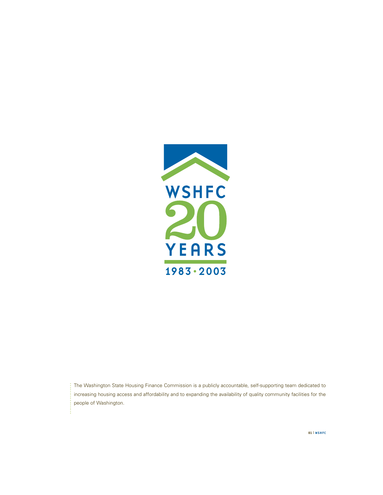

The Washington State Housing Finance Commission is a publicly accountable, self-supporting team dedicated to increasing housing access and affordability and to expanding the availability of quality community facilities for the people of Washington.

.................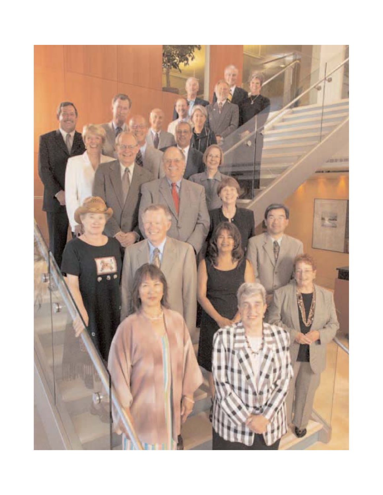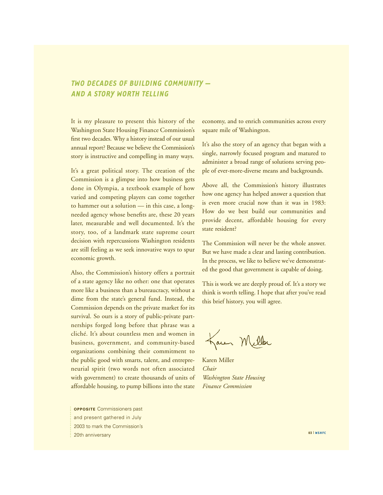### *TWO DECADES OF BUILDING COMMUNITY — AND A STORY WORTH TELLING*

It is my pleasure to present this history of the Washington State Housing Finance Commission's first two decades. Why a history instead of our usual annual report? Because we believe the Commission's story is instructive and compelling in many ways.

It's a great political story. The creation of the Commission is a glimpse into how business gets done in Olympia, a textbook example of how varied and competing players can come together to hammer out a solution — in this case, a longneeded agency whose benefits are, these 20 years later, measurable and well documented. It's the story, too, of a landmark state supreme court decision with repercussions Washington residents are still feeling as we seek innovative ways to spur economic growth.

Also, the Commission's history offers a portrait of a state agency like no other: one that operates more like a business than a bureaucracy, without a dime from the state's general fund. Instead, the Commission depends on the private market for its survival. So ours is a story of public-private partnerships forged long before that phrase was a cliché. It's about countless men and women in business, government, and community-based organizations combining their commitment to the public good with smarts, talent, and entrepreneurial spirit (two words not often associated with government) to create thousands of units of affordable housing, to pump billions into the state

**OPPOSITE** Commissioners past and present gathered in July 2003 to mark the Commission's 20th anniversary

.................

economy, and to enrich communities across every square mile of Washington.

It's also the story of an agency that began with a single, narrowly focused program and matured to administer a broad range of solutions serving people of ever-more-diverse means and backgrounds.

Above all, the Commission's history illustrates how one agency has helped answer a question that is even more crucial now than it was in 1983: How do we best build our communities and provide decent, affordable housing for every state resident?

The Commission will never be the whole answer. But we have made a clear and lasting contribution. In the process, we like to believe we've demonstrated the good that government is capable of doing.

This is work we are deeply proud of. It's a story we think is worth telling. I hope that after you've read this brief history, you will agree.

Kaun Miller

Karen Miller *Chair Washington State Housing Finance Commission*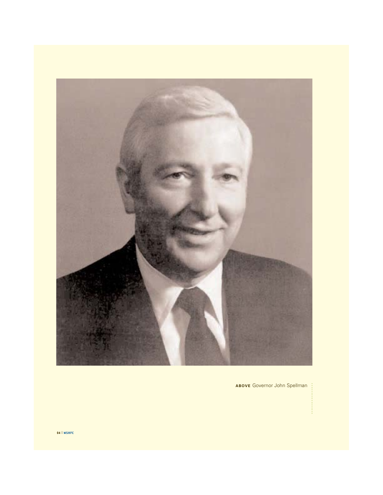

**ABOVE** Governor John Spellman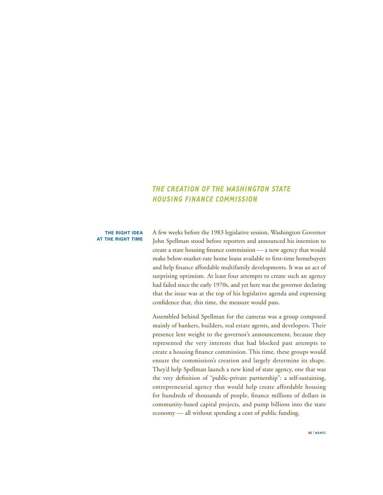### *THE CREATION OF THE WASHINGTON STATE HOUSING FINANCE COMMISSION*

#### **THE RIGHT IDEA AT THE RIGHT TIME**

A few weeks before the 1983 legislative session, Washington Governor John Spellman stood before reporters and announced his intention to create a state housing finance commission — a new agency that would make below-market-rate home loans available to first-time homebuyers and help finance affordable multifamily developments. It was an act of surprising optimism. At least four attempts to create such an agency had failed since the early 1970s, and yet here was the governor declaring that the issue was at the top of his legislative agenda and expressing confidence that, this time, the measure would pass.

Assembled behind Spellman for the cameras was a group composed mainly of bankers, builders, real estate agents, and developers. Their presence lent weight to the governor's announcement, because they represented the very interests that had blocked past attempts to create a housing finance commission. This time, these groups would ensure the commission's creation and largely determine its shape. They'd help Spellman launch a new kind of state agency, one that was the very definition of "public-private partnership": a self-sustaining, entrepreneurial agency that would help create affordable housing for hundreds of thousands of people, finance millions of dollars in community-based capital projects, and pump billions into the state economy — all without spending a cent of public funding.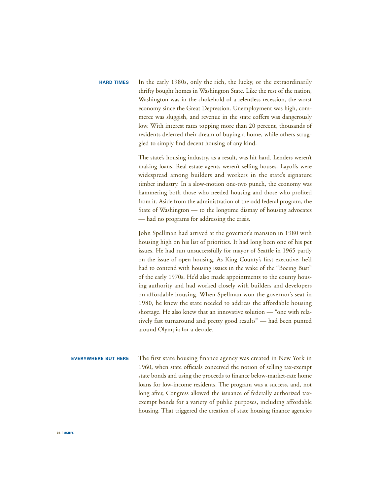#### In the early 1980s, only the rich, the lucky, or the extraordinarily thrifty bought homes in Washington State. Like the rest of the nation, Washington was in the chokehold of a relentless recession, the worst economy since the Great Depression. Unemployment was high, commerce was sluggish, and revenue in the state coffers was dangerously low. With interest rates topping more than 20 percent, thousands of residents deferred their dream of buying a home, while others struggled to simply find decent housing of any kind. **HARD TIMES**

The state's housing industry, as a result, was hit hard. Lenders weren't making loans. Real estate agents weren't selling houses. Layoffs were widespread among builders and workers in the state's signature timber industry. In a slow-motion one-two punch, the economy was hammering both those who needed housing and those who profited from it. Aside from the administration of the odd federal program, the State of Washington — to the longtime dismay of housing advocates — had no programs for addressing the crisis.

John Spellman had arrived at the governor's mansion in 1980 with housing high on his list of priorities. It had long been one of his pet issues. He had run unsuccessfully for mayor of Seattle in 1965 partly on the issue of open housing. As King County's first executive, he'd had to contend with housing issues in the wake of the "Boeing Bust" of the early 1970s. He'd also made appointments to the county housing authority and had worked closely with builders and developers on affordable housing. When Spellman won the governor's seat in 1980, he knew the state needed to address the affordable housing shortage. He also knew that an innovative solution — "one with relatively fast turnaround and pretty good results" — had been punted around Olympia for a decade.

The first state housing finance agency was created in New York in 1960, when state officials conceived the notion of selling tax-exempt state bonds and using the proceeds to finance below-market-rate home loans for low-income residents. The program was a success, and, not long after, Congress allowed the issuance of federally authorized taxexempt bonds for a variety of public purposes, including affordable housing. That triggered the creation of state housing finance agencies **EVERYWHERE BUT HERE**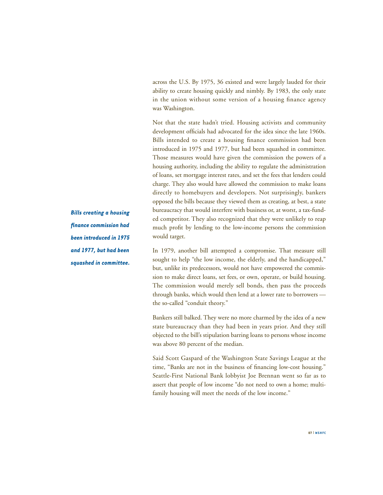across the U.S. By 1975, 36 existed and were largely lauded for their ability to create housing quickly and nimbly. By 1983, the only state in the union without some version of a housing finance agency was Washington.

Not that the state hadn't tried. Housing activists and community development officials had advocated for the idea since the late 1960s. Bills intended to create a housing finance commission had been introduced in 1975 and 1977, but had been squashed in committee. Those measures would have given the commission the powers of a housing authority, including the ability to regulate the administration of loans, set mortgage interest rates, and set the fees that lenders could charge. They also would have allowed the commission to make loans directly to homebuyers and developers. Not surprisingly, bankers opposed the bills because they viewed them as creating, at best, a state bureaucracy that would interfere with business or, at worst, a tax-funded competitor. They also recognized that they were unlikely to reap much profit by lending to the low-income persons the commission would target.

In 1979, another bill attempted a compromise. That measure still sought to help "the low income, the elderly, and the handicapped," but, unlike its predecessors, would not have empowered the commission to make direct loans, set fees, or own, operate, or build housing. The commission would merely sell bonds, then pass the proceeds through banks, which would then lend at a lower rate to borrowers the so-called "conduit theory."

Bankers still balked. They were no more charmed by the idea of a new state bureaucracy than they had been in years prior. And they still objected to the bill's stipulation barring loans to persons whose income was above 80 percent of the median.

Said Scott Gaspard of the Washington State Savings League at the time, "Banks are not in the business of financing low-cost housing." Seattle-First National Bank lobbyist Joe Brennan went so far as to assert that people of low income "do not need to own a home; multifamily housing will meet the needs of the low income."

*Bills creating a housing finance commission had been introduced in 1975 and 1977, but had been squashed in committee.*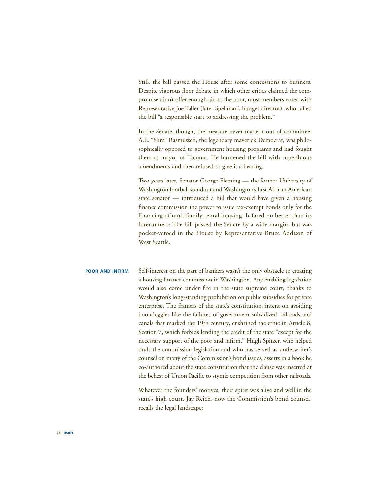Still, the bill passed the House after some concessions to business. Despite vigorous floor debate in which other critics claimed the compromise didn't offer enough aid to the poor, most members voted with Representative Joe Taller (later Spellman's budget director), who called the bill "a responsible start to addressing the problem."

In the Senate, though, the measure never made it out of committee. A.L. "Slim" Rasmussen, the legendary maverick Democrat, was philosophically opposed to government housing programs and had fought them as mayor of Tacoma. He burdened the bill with superfluous amendments and then refused to give it a hearing.

Two years later, Senator George Fleming — the former University of Washington football standout and Washington's first African American state senator — introduced a bill that would have given a housing finance commission the power to issue tax-exempt bonds only for the financing of multifamily rental housing. It fared no better than its forerunners: The bill passed the Senate by a wide margin, but was pocket-vetoed in the House by Representative Bruce Addison of West Seattle.

Self-interest on the part of bankers wasn't the only obstacle to creating a housing finance commission in Washington. Any enabling legislation would also come under fire in the state supreme court, thanks to Washington's long-standing prohibition on public subsidies for private enterprise. The framers of the state's constitution, intent on avoiding boondoggles like the failures of government-subsidized railroads and canals that marked the 19th century, enshrined the ethic in Article 8, Section 7, which forbids lending the credit of the state "except for the necessary support of the poor and infirm." Hugh Spitzer, who helped draft the commission legislation and who has served as underwriter's counsel on many of the Commission's bond issues, asserts in a book he co-authored about the state constitution that the clause was inserted at the behest of Union Pacific to stymie competition from other railroads. **POOR AND INFIRM**

> Whatever the founders' motives, their spirit was alive and well in the state's high court. Jay Reich, now the Commission's bond counsel, recalls the legal landscape: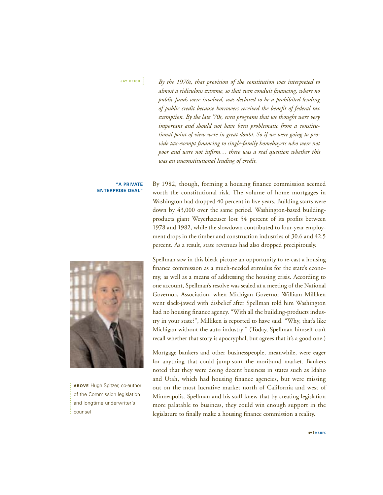**JAY REICH**

*By the 1970s, that provision of the constitution was interpreted to almost a ridiculous extreme, so that even conduit financing, where no public funds were involved, was declared to be a prohibited lending of public credit because borrowers received the benefit of federal tax exemption. By the late '70s, even programs that we thought were very important and should not have been problematic from a constitutional point of view were in great doubt. So if we were going to provide tax-exempt financing to single-family homebuyers who were not poor and were not infirm… there was a real question whether this was an unconstitutional lending of credit.*

#### **"A PRIVATE ENTERPRISE DEAL"**

By 1982, though, forming a housing finance commission seemed worth the constitutional risk. The volume of home mortgages in Washington had dropped 40 percent in five years. Building starts were down by 43,000 over the same period. Washington-based buildingproducts giant Weyerhaeuser lost 54 percent of its profits between 1978 and 1982, while the slowdown contributed to four-year employment drops in the timber and construction industries of 30.6 and 42.5 percent. As a result, state revenues had also dropped precipitously.



**ABOVE** Hugh Spitzer, co-author of the Commission legislation and longtime underwriter's counsel

Spellman saw in this bleak picture an opportunity to re-cast a housing finance commission as a much-needed stimulus for the state's economy, as well as a means of addressing the housing crisis. According to one account, Spellman's resolve was sealed at a meeting of the National Governors Association, when Michigan Governor William Milliken went slack-jawed with disbelief after Spellman told him Washington had no housing finance agency. "With all the building-products industry in your state?", Milliken is reported to have said. "Why, that's like Michigan without the auto industry!" (Today, Spellman himself can't recall whether that story is apocryphal, but agrees that it's a good one.)

Mortgage bankers and other businesspeople, meanwhile, were eager for anything that could jump-start the moribund market. Bankers noted that they were doing decent business in states such as Idaho and Utah, which had housing finance agencies, but were missing out on the most lucrative market north of California and west of Minneapolis. Spellman and his staff knew that by creating legislation more palatable to business, they could win enough support in the legislature to finally make a housing finance commission a reality.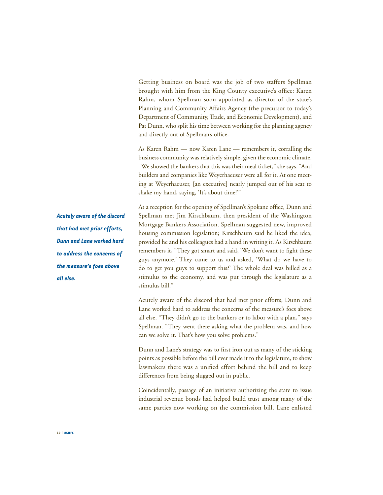Getting business on board was the job of two staffers Spellman brought with him from the King County executive's office: Karen Rahm, whom Spellman soon appointed as director of the state's Planning and Community Affairs Agency (the precursor to today's Department of Community, Trade, and Economic Development), and Pat Dunn, who split his time between working for the planning agency and directly out of Spellman's office.

As Karen Rahm — now Karen Lane — remembers it, corralling the business community was relatively simple, given the economic climate. "We showed the bankers that this was their meal ticket," she says. "And builders and companies like Weyerhaeuser were all for it. At one meeting at Weyerhaeuser, [an executive] nearly jumped out of his seat to shake my hand, saying, 'It's about time!'"

At a reception for the opening of Spellman's Spokane office, Dunn and Spellman met Jim Kirschbaum, then president of the Washington Mortgage Bankers Association. Spellman suggested new, improved housing commission legislation; Kirschbaum said he liked the idea, provided he and his colleagues had a hand in writing it. As Kirschbaum remembers it, "They got smart and said, 'We don't want to fight these guys anymore.' They came to us and asked, 'What do we have to do to get you guys to support this?' The whole deal was billed as a stimulus to the economy, and was put through the legislature as a stimulus bill."

Acutely aware of the discord that had met prior efforts, Dunn and Lane worked hard to address the concerns of the measure's foes above all else. "They didn't go to the bankers or to labor with a plan," says Spellman. "They went there asking what the problem was, and how can we solve it. That's how you solve problems."

Dunn and Lane's strategy was to first iron out as many of the sticking points as possible before the bill ever made it to the legislature, to show lawmakers there was a unified effort behind the bill and to keep differences from being slugged out in public.

Coincidentally, passage of an initiative authorizing the state to issue industrial revenue bonds had helped build trust among many of the same parties now working on the commission bill. Lane enlisted

*Acutely aware of the discord that had met prior efforts, Dunn and Lane worked hard to address the concerns of the measure's foes above all else.*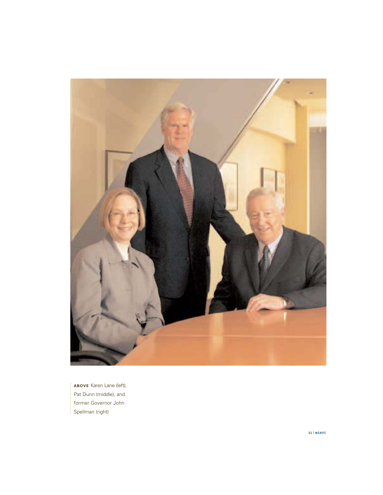

**ABOVE** Karen Lane (left), Pat Dunn (middle), and former Governor John Spellman (right)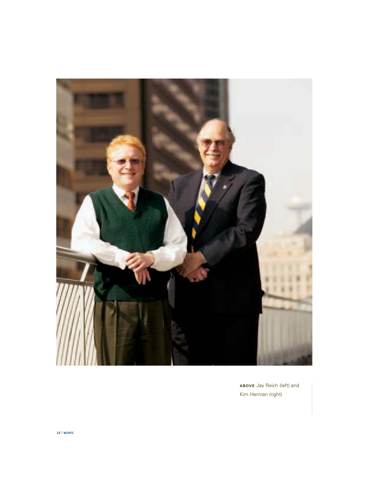

**ABOVE** Jay Reich (left) and Kim Herman (right)

ł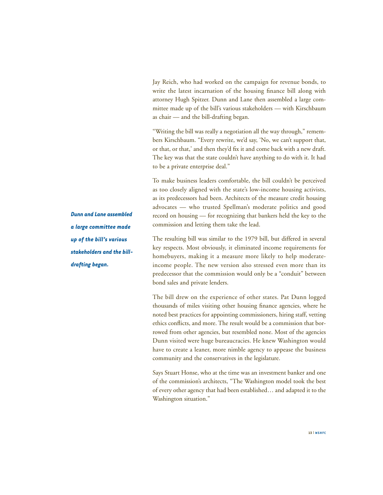Jay Reich, who had worked on the campaign for revenue bonds, to write the latest incarnation of the housing finance bill along with attorney Hugh Spitzer. Dunn and Lane then assembled a large committee made up of the bill's various stakeholders — with Kirschbaum as chair — and the bill-drafting began.

"Writing the bill was really a negotiation all the way through," remembers Kirschbaum. "Every rewrite, we'd say, 'No, we can't support that, or that, or that,' and then they'd fix it and come back with a new draft. The key was that the state couldn't have anything to do with it. It had to be a private enterprise deal."

To make business leaders comfortable, the bill couldn't be perceived as too closely aligned with the state's low-income housing activists, as its predecessors had been. Architects of the measure credit housing advocates — who trusted Spellman's moderate politics and good record on housing — for recognizing that bankers held the key to the commission and letting them take the lead.

The resulting bill was similar to the 1979 bill, but differed in several key respects. Most obviously, it eliminated income requirements for homebuyers, making it a measure more likely to help moderateincome people. The new version also stressed even more than its predecessor that the commission would only be a "conduit" between bond sales and private lenders.

The bill drew on the experience of other states. Pat Dunn logged thousands of miles visiting other housing finance agencies, where he noted best practices for appointing commissioners, hiring staff, vetting ethics conflicts, and more. The result would be a commission that borrowed from other agencies, but resembled none. Most of the agencies Dunn visited were huge bureaucracies. He knew Washington would have to create a leaner, more nimble agency to appease the business community and the conservatives in the legislature.

Says Stuart Honse, who at the time was an investment banker and one of the commission's architects, "The Washington model took the best of every other agency that had been established… and adapted it to the Washington situation."

*Dunn and Lane assembled a large committee made up of the bill's various stakeholders and the billdrafting began.*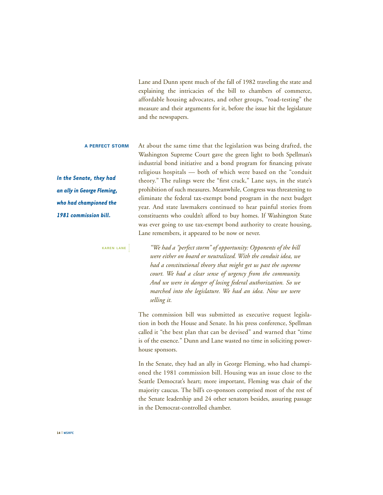Lane and Dunn spent much of the fall of 1982 traveling the state and explaining the intricacies of the bill to chambers of commerce, affordable housing advocates, and other groups, "road-testing" the measure and their arguments for it, before the issue hit the legislature and the newspapers.

At about the same time that the legislation was being drafted, the Washington Supreme Court gave the green light to both Spellman's industrial bond initiative and a bond program for financing private religious hospitals — both of which were based on the "conduit theory." The rulings were the "first crack," Lane says, in the state's prohibition of such measures. Meanwhile, Congress was threatening to eliminate the federal tax-exempt bond program in the next budget year. And state lawmakers continued to hear painful stories from constituents who couldn't afford to buy homes. If Washington State was ever going to use tax-exempt bond authority to create housing, Lane remembers, it appeared to be now or never. **A PERFECT STORM** *In the Senate, they had* 

> *"We had a "perfect storm" of opportunity: Opponents of the bill were either on board or neutralized. With the conduit idea, we had a constitutional theory that might get us past the supreme court. We had a clear sense of urgency from the community. And we were in danger of losing federal authorization. So we marched into the legislature. We had an idea. Now we were selling it.*

The commission bill was submitted as executive request legislation in both the House and Senate. In his press conference, Spellman called it "the best plan that can be devised" and warned that "time is of the essence." Dunn and Lane wasted no time in soliciting powerhouse sponsors.

In the Senate, they had an ally in George Fleming, who had championed the 1981 commission bill. Housing was an issue close to the Seattle Democrat's heart; more important, Fleming was chair of the majority caucus. The bill's co-sponsors comprised most of the rest of the Senate leadership and 24 other senators besides, assuring passage in the Democrat-controlled chamber.

*an ally in George Fleming, who had championed the 1981 commission bill.* 

**KAREN LANE**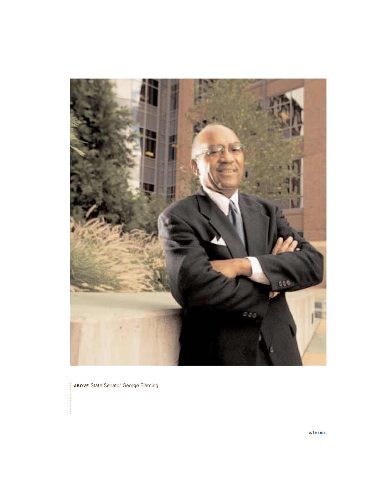

**ABOVE** State Senator George Fleming

.................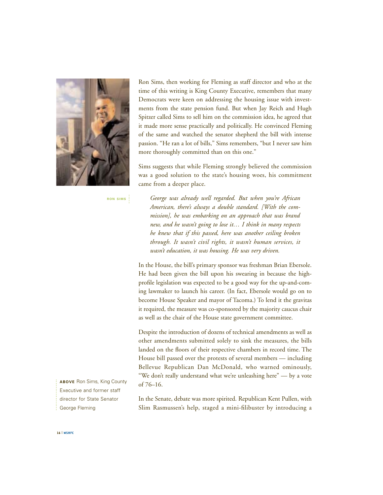

Ron Sims, then working for Fleming as staff director and who at the time of this writing is King County Executive, remembers that many Democrats were keen on addressing the housing issue with investments from the state pension fund. But when Jay Reich and Hugh Spitzer called Sims to sell him on the commission idea, he agreed that it made more sense practically and politically. He convinced Fleming of the same and watched the senator shepherd the bill with intense passion. "He ran a lot of bills," Sims remembers, "but I never saw him more thoroughly committed than on this one."

Sims suggests that while Fleming strongly believed the commission was a good solution to the state's housing woes, his commitment came from a deeper place.

**RON SIMS**

*George was already well regarded. But when you're African American, there's always a double standard. [With the commission], he was embarking on an approach that was brand new, and he wasn't going to lose it… I think in many respects he knew that if this passed, here was another ceiling broken through. It wasn't civil rights, it wasn't human services, it wasn't education, it was housing. He was very driven.*

In the House, the bill's primary sponsor was freshman Brian Ebersole. He had been given the bill upon his swearing in because the highprofile legislation was expected to be a good way for the up-and-coming lawmaker to launch his career. (In fact, Ebersole would go on to become House Speaker and mayor of Tacoma.) To lend it the gravitas it required, the measure was co-sponsored by the majority caucus chair as well as the chair of the House state government committee.

Despite the introduction of dozens of technical amendments as well as other amendments submitted solely to sink the measures, the bills landed on the floors of their respective chambers in record time. The House bill passed over the protests of several members — including Bellevue Republican Dan McDonald, who warned ominously, "We don't really understand what we're unleashing here" — by a vote of 76–16.

In the Senate, debate was more spirited. Republican Kent Pullen, with Slim Rasmussen's help, staged a mini-filibuster by introducing a

**ABOVE** Ron Sims, King County Executive and former staff director for State Senator George Fleming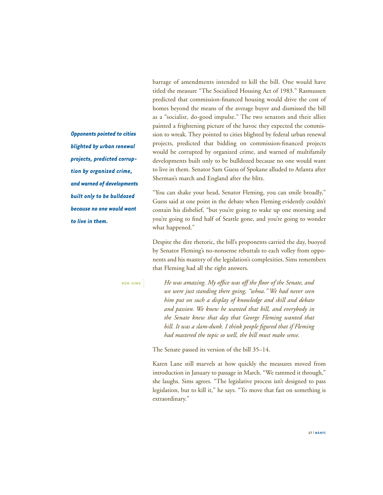*Opponents pointed to cities blighted by urban renewal projects, predicted corruption by organized crime, and warned of developments built only to be bulldozed because no one would want to live in them.*

barrage of amendments intended to kill the bill. One would have titled the measure "The Socialized Housing Act of 1983." Rasmussen predicted that commission-financed housing would drive the cost of homes beyond the means of the average buyer and dismissed the bill as a "socialist, do-good impulse." The two senators and their allies painted a frightening picture of the havoc they expected the commission to wreak. They pointed to cities blighted by federal urban renewal projects, predicted that bidding on commission-financed projects would be corrupted by organized crime, and warned of multifamily developments built only to be bulldozed because no one would want to live in them. Senator Sam Guess of Spokane alluded to Atlanta after Sherman's march and England after the blitz.

"You can shake your head, Senator Fleming, you can smile broadly," Guess said at one point in the debate when Fleming evidently couldn't contain his disbelief, "but you're going to wake up one morning and you're going to find half of Seattle gone, and you're going to wonder what happened."

Despite the dire rhetoric, the bill's proponents carried the day, buoyed by Senator Fleming's no-nonsense rebuttals to each volley from opponents and his mastery of the legislation's complexities. Sims remembers that Fleming had all the right answers.

**RON SIMS**

*He was amazing. My office was off the floor of the Senate, and we were just standing there going, "whoa." We had never seen him put on such a display of knowledge and skill and debate and passion. We knew he wanted that bill, and everybody in the Senate knew that day that George Fleming wanted that bill. It was a slam-dunk. I think people figured that if Fleming had mastered the topic so well, the bill must make sense.*

The Senate passed its version of the bill 35–14.

Karen Lane still marvels at how quickly the measures moved from introduction in January to passage in March. "We rammed it through," she laughs. Sims agrees. "The legislative process isn't designed to pass legislation, but to kill it," he says. "To move that fast on something is extraordinary."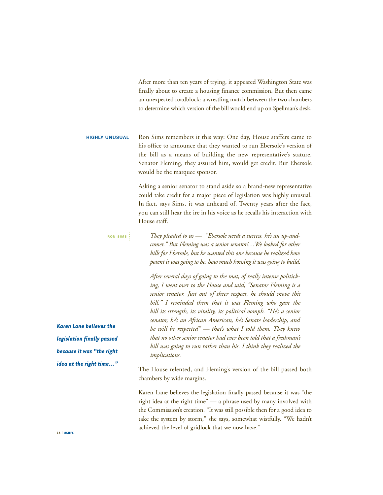After more than ten years of trying, it appeared Washington State was finally about to create a housing finance commission. But then came an unexpected roadblock: a wrestling match between the two chambers to determine which version of the bill would end up on Spellman's desk.

Ron Sims remembers it this way: One day, House staffers came to his office to announce that they wanted to run Ebersole's version of the bill as a means of building the new representative's stature. Senator Fleming, they assured him, would get credit. But Ebersole would be the marquee sponsor. **HIGHLY UNUSUAL**

> Asking a senior senator to stand aside so a brand-new representative could take credit for a major piece of legislation was highly unusual. In fact, says Sims, it was unheard of. Twenty years after the fact, you can still hear the ire in his voice as he recalls his interaction with House staff.

**RON SIMS**

.....

*They pleaded to us — "Ebersole needs a success, he's an up-andcomer." But Fleming was a senior senator!…We looked for other bills for Ebersole, but he wanted this one because he realized how potent it was going to be, how much housing it was going to build.*

*After several days of going to the mat, of really intense politicking, I went over to the House and said, "Senator Fleming is a senior senator. Just out of sheer respect, he should move this bill." I reminded them that it was Fleming who gave the bill its strength, its vitality, its political oomph. "He's a senior senator, he's an African American, he's Senate leadership, and he will be respected" — that's what I told them. They knew that no other senior senator had ever been told that a freshman's bill was going to run rather than his. I think they realized the implications.*

The House relented, and Fleming's version of the bill passed both chambers by wide margins.

Karen Lane believes the legislation finally passed because it was "the right idea at the right time" — a phrase used by many involved with the Commission's creation. "It was still possible then for a good idea to take the system by storm," she says, somewhat wistfully. "We hadn't achieved the level of gridlock that we now have."

*Karen Lane believes the legislation finally passed because it was "the right idea at the right time…"*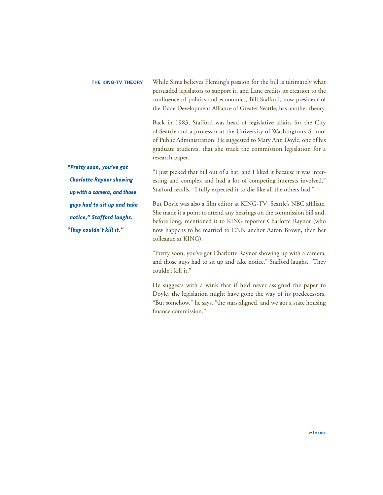| THE KING-TV THEORY | While Sims believes Fleming's passion for the bill is ultimately what     |
|--------------------|---------------------------------------------------------------------------|
|                    | persuaded legislators to support it, and Lane credits its creation to the |
|                    | confluence of politics and economics, Bill Stafford, now president of     |
|                    | the Trade Development Alliance of Greater Seattle, has another theory.    |
|                    |                                                                           |

Back in 1983, Stafford was head of legislative affairs for the City of Seattle and a professor at the University of Washington's School of Public Administration. He suggested to Mary Ann Doyle, one of his graduate students, that she track the commission legislation for a research paper.

*"Pretty soon, you've got Charlotte Raynor showing up with a camera, and those guys had to sit up and take notice," Stafford laughs. "They couldn't kill it."*

"I just picked that bill out of a hat, and I liked it because it was interesting and complex and had a lot of competing interests involved," Stafford recalls. "I fully expected it to die like all the others had."

But Doyle was also a film editor at KING-TV, Seattle's NBC affiliate. She made it a point to attend any hearings on the commission bill and, before long, mentioned it to KING reporter Charlotte Raynor (who now happens to be married to CNN anchor Aaron Brown, then her colleague at KING).

"Pretty soon, you've got Charlotte Raynor showing up with a camera, and those guys had to sit up and take notice," Stafford laughs. "They couldn't kill it."

He suggests with a wink that if he'd never assigned the paper to Doyle, the legislation might have gone the way of its predecessors. "But somehow," he says, "the stars aligned, and we got a state housing finance commission."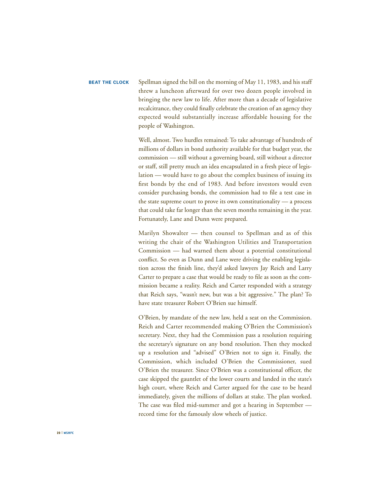#### Spellman signed the bill on the morning of May 11, 1983, and his staff threw a luncheon afterward for over two dozen people involved in bringing the new law to life. After more than a decade of legislative recalcitrance, they could finally celebrate the creation of an agency they expected would substantially increase affordable housing for the people of Washington. **BEAT THE CLOCK**

Well, almost. Two hurdles remained: To take advantage of hundreds of millions of dollars in bond authority available for that budget year, the commission — still without a governing board, still without a director or staff, still pretty much an idea encapsulated in a fresh piece of legislation — would have to go about the complex business of issuing its first bonds by the end of 1983. And before investors would even consider purchasing bonds, the commission had to file a test case in the state supreme court to prove its own constitutionality — a process that could take far longer than the seven months remaining in the year. Fortunately, Lane and Dunn were prepared.

Marilyn Showalter — then counsel to Spellman and as of this writing the chair of the Washington Utilities and Transportation Commission — had warned them about a potential constitutional conflict. So even as Dunn and Lane were driving the enabling legislation across the finish line, they'd asked lawyers Jay Reich and Larry Carter to prepare a case that would be ready to file as soon as the commission became a reality. Reich and Carter responded with a strategy that Reich says, "wasn't new, but was a bit aggressive." The plan? To have state treasurer Robert O'Brien sue himself.

O'Brien, by mandate of the new law, held a seat on the Commission. Reich and Carter recommended making O'Brien the Commission's secretary. Next, they had the Commission pass a resolution requiring the secretary's signature on any bond resolution. Then they mocked up a resolution and "advised" O'Brien not to sign it. Finally, the Commission, which included O'Brien the Commissioner, sued O'Brien the treasurer. Since O'Brien was a constitutional officer, the case skipped the gauntlet of the lower courts and landed in the state's high court, where Reich and Carter argued for the case to be heard immediately, given the millions of dollars at stake. The plan worked. The case was filed mid-summer and got a hearing in September record time for the famously slow wheels of justice.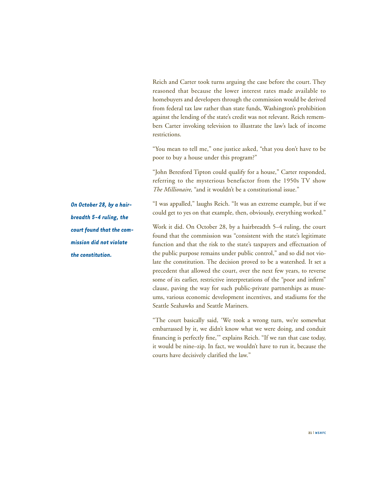Reich and Carter took turns arguing the case before the court. They reasoned that because the lower interest rates made available to homebuyers and developers through the commission would be derived from federal tax law rather than state funds, Washington's prohibition against the lending of the state's credit was not relevant. Reich remembers Carter invoking television to illustrate the law's lack of income restrictions.

"You mean to tell me," one justice asked, "that you don't have to be poor to buy a house under this program?"

"John Beresford Tipton could qualify for a house," Carter responded, referring to the mysterious benefactor from the 1950s TV show *The Millionaire*, "and it wouldn't be a constitutional issue."

"I was appalled," laughs Reich. "It was an extreme example, but if we could get to yes on that example, then, obviously, everything worked."

Work it did. On October 28, by a hairbreadth 5–4 ruling, the court found that the commission was "consistent with the state's legitimate function and that the risk to the state's taxpayers and effectuation of the public purpose remains under public control," and so did not violate the constitution. The decision proved to be a watershed. It set a precedent that allowed the court, over the next few years, to reverse some of its earlier, restrictive interpretations of the "poor and infirm" clause, paving the way for such public-private partnerships as museums, various economic development incentives, and stadiums for the Seattle Seahawks and Seattle Mariners.

"The court basically said, 'We took a wrong turn, we're somewhat embarrassed by it, we didn't know what we were doing, and conduit financing is perfectly fine,'" explains Reich. "If we ran that case today, it would be nine–zip. In fact, we wouldn't have to run it, because the courts have decisively clarified the law."

*On October 28, by a hairbreadth 5-4 ruling, the court found that the commission did not violate the constitution.*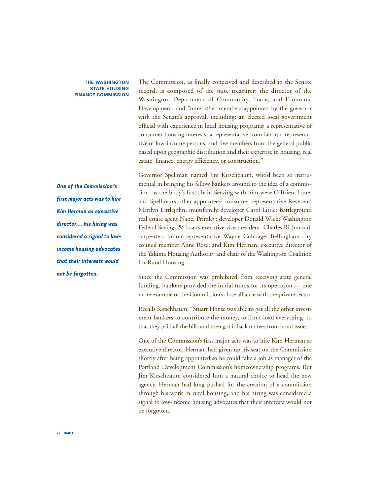#### **THE WASHINGTON STATE HOUSING FINANCE COMMISSION**

*One of the Commission's first major acts was to hire Kim Herman as executive director… his hiring was considered a signal to lowincome housing advocates that their interests would not be forgotten.*

The Commission, as finally conceived and described in the Senate record, is composed of the state treasurer; the director of the Washington Department of Community, Trade, and Economic Development; and "nine other members appointed by the governor with the Senate's approval, including: an elected local government official with experience in local housing programs; a representative of consumer housing interests; a representative from labor; a representative of low-income persons; and five members from the general public based upon geographic distribution and their expertise in housing, real estate, finance, energy efficiency, or construction."

Governor Spellman named Jim Kirschbaum, who'd been so instrumental in bringing his fellow bankers around to the idea of a commission, as the body's first chair. Serving with him were O'Brien, Lane, and Spellman's other appointees: consumer representative Reverend Marilyn Littlejohn; multifamily developer Carol Little; Battleground real estate agent Nanci Primley; developer Donald Wick; Washington Federal Savings & Loan's executive vice president, Charles Richmond; carpenters union representative Wayne Cubbage; Bellingham city council member Anne Rose; and Kim Herman, executive director of the Yakima Housing Authority and chair of the Washington Coalition for Rural Housing.

Since the Commission was prohibited from receiving state general funding, bankers provided the initial funds for its operation — one more example of the Commission's close alliance with the private sector.

Recalls Kirschbaum, "Stuart Honse was able to get all the other investment bankers to contribute the money, to front-load everything, so that they paid all the bills and then got it back on fees from bond issues."

One of the Commission's first major acts was to hire Kim Herman as executive director. Herman had given up his seat on the Commission shortly after being appointed so he could take a job as manager of the Portland Development Commission's homeownership programs. But Jim Kirschbaum considered him a natural choice to head the new agency. Herman had long pushed for the creation of a commission through his work in rural housing, and his hiring was considered a signal to low-income housing advocates that their interests would not be forgotten.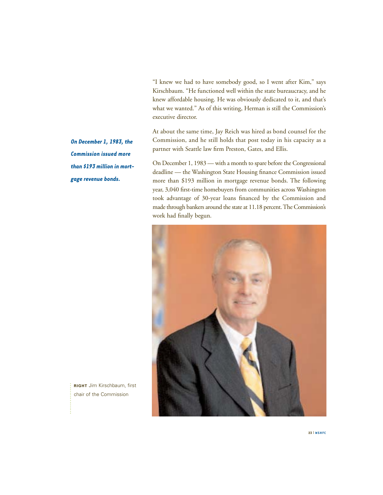"I knew we had to have somebody good, so I went after Kim," says Kirschbaum. "He functioned well within the state bureaucracy, and he knew affordable housing. He was obviously dedicated to it, and that's what we wanted." As of this writing, Herman is still the Commission's executive director.

At about the same time, Jay Reich was hired as bond counsel for the Commission, and he still holds that post today in his capacity as a partner with Seattle law firm Preston, Gates, and Ellis.

On December 1, 1983 — with a month to spare before the Congressional deadline — the Washington State Housing finance Commission issued more than \$193 million in mortgage revenue bonds. The following year, 3,040 first-time homebuyers from communities across Washington took advantage of 30-year loans financed by the Commission and made through bankers around the state at 11.18 percent. The Commission's work had finally begun.



*On December 1, 1983, the Commission issued more than \$193 million in mortgage revenue bonds.*

**RIGHT** Jim Kirschbaum, first chair of the Commission

.................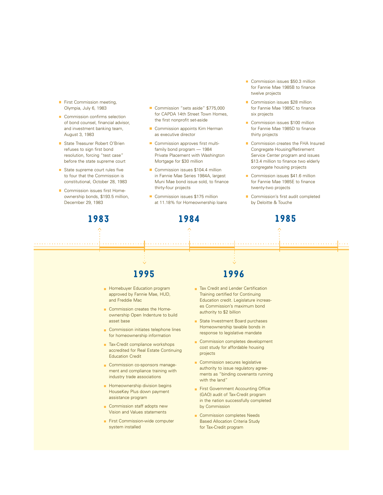- First Commission meeting, Olympia, July 6, 1983
- Commission confirms selection of bond counsel, financial advisor, and investment banking team, August 3, 1983
- State Treasurer Robert O'Brien refuses to sign first bond resolution, forcing "test case" before the state supreme court
- State supreme court rules five to four that the Commission is constitutional, October 28, 1983
- Commission issues first Homeownership bonds, \$193.5 million, December 29, 1983
- Commission "sets aside" \$775,000 for CAPDA 14th Street Town Homes, the first nonprofit set-aside
- Commission appoints Kim Herman as executive director
- Commission approves first multifamily bond program — 1984 Private Placement with Washington Mortgage for \$30 million
- Commission issues \$104.4 million in Fannie Mae Series 1984A, largest Muni Mae bond issue sold, to finance thirty-four projects
- Commission issues \$175 million at 11.18% for Homeownership loans

- Commission issues \$50.3 million for Fannie Mae 1985B to finance twelve projects
- Commission issues \$28 million for Fannie Mae 1985C to finance six projects
- Commission issues \$100 million for Fannie Mae 1985D to finance thirty projects
- Commission creates the FHA Insured Congregate Housing/Retirement Service Center program and issues \$13.4 million to finance two elderly congregate housing projects
- Commission issues \$41.6 million for Fannie Mae 1985E to finance twenty-two projects
- Commission's first audit completed by Deloitte & Touche

**1985**

### **1983**

# **1995**

- **Homebuyer Education program** approved by Fannie Mae, HUD, and Freddie Mac
- Commission creates the Homeownership Open Indenture to build asset base
- Commission initiates telephone lines  $\mathbf{u}$ for homeownership information
- **Tax-Credit compliance workshops** accredited for Real Estate Continuing Education Credit
- Commission co-sponsors management and compliance training with industry trade associations
- **Homeownership division begins** HouseKey Plus down payment assistance program
- Commission staff adopts new Vision and Values statements
- First Commission-wide computer system installed

- Tax Credit and Lender Certification Training certified for Continuing Education credit. Legislature increases Commission's maximum bond authority to \$2 billion
- State Investment Board purchases Homeownership taxable bonds in response to legislative mandate
- Commission completes development cost study for affordable housing projects
- Commission secures legislative authority to issue regulatory agreements as "binding covenants running with the land"
- **First Government Accounting Office** (GAO) audit of Tax-Credit program in the nation successfully completed by Commission
- Commission completes Needs Based Allocation Criteria Study for Tax-Credit program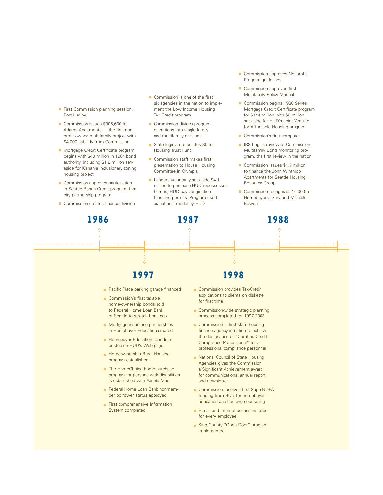- First Commission planning session, Port Ludlow
- Commission issues \$305,600 for Adams Apartments — the first nonprofit-owned multifamily project with \$4,000 subsidy from Commission
- **Mortgage Credit Certificate program** begins with \$40 million in 1984 bond authority, including \$1.8 million setaside for Klahanie inclusionary zoning housing project
- Commission approves participation in Seattle Bonus Credit program, first city partnership program
- Commission creates finance division

- Commission is one of the first six agencies in the nation to implement the Low Income Housing Tax Credit program
- Commission divides program operations into single-family and multifamily divisions
- State legislature creates State Housing Trust Fund
- Commission staff makes first presentation to House Housing Committee in Olympia
- Lenders voluntarily set aside \$4.1 million to purchase HUD repossessed homes; HUD pays origination fees and permits. Program used as national model by HUD

**1987**

- Commission approves Nonprofit Program guidelines
- Commission approves first Multifamily Policy Manual
- Commission begins 1988 Series Mortgage Credit Certificate program for \$144 million with \$8 million set aside for HUD's Joint Venture for Affordable Housing program
- Commission's first computer
- **IRS** begins review of Commission Multifamily Bond monitoring program, the first review in the nation
- Commission issues \$1.7 million to finance the John Winthrop Apartments for Seattle Housing Resource Group
- Commission recognizes 10,000th Homebuyers, Gary and Michelle Bowen

**1988**

### **1997**

- **Pacific Place parking garage financed**
- Commission's first taxable home-ownership bonds sold to Federal Home Loan Bank of Seattle to stretch bond cap
- **Mortgage insurance partnerships** in Homebuyer Education created
- **Homebuyer Education schedule** posted on HUD's Web page
- **Homeownership Rural Housing** program established
- **The HomeChoice home purchase** program for persons with disabilities is established with Fannie Mae
- Federal Home Loan Bank nonmember borrower status approved
- First comprehensive Information System completed

Commission provides Tax-Credit applications to clients on diskette

for first time

- Commission-wide strategic planning process completed for 1997-2003
- Commission is first state housing finance agency in nation to achieve the designation of "Certified Credit Compliance Professional" for all professional compliance personnel
- National Council of State Housing Agencies gives the Commission a Significant Achievement award for communications, annual report, and newsletter
- Commission receives first SuperNOFA funding from HUD for homebuyer education and housing counseling
- E-mail and Internet access installed for every employee
- King County "Open Door" program implemented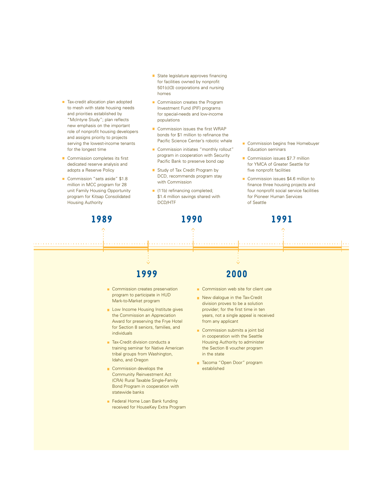- Tax-credit allocation plan adopted to mesh with state housing needs and priorities established by "McIntyre Study"; plan reflects new emphasis on the important role of nonprofit housing developers and assigns priority to projects serving the lowest-income tenants for the longest time
- Commission completes its first dedicated reserve analysis and adopts a Reserve Policy
- Commission "sets aside" \$1.8 million in MCC program for 28 unit Family Housing Opportunity program for Kitsap Consolidated Housing Authority
- State legislature approves financing for facilities owned by nonprofit 501(c)(3) corporations and nursing homes
- Commission creates the Program Investment Fund (PIF) programs for special-needs and low-income populations
- Commission issues the first WRAP bonds for \$1 million to refinance the Pacific Science Center's robotic whale
- Commission initiates "monthly rollout" program in cooperation with Security Pacific Bank to preserve bond cap
- Study of Tax Credit Program by DCD, recommends program stay with Commission
- (11b) refinancing completed; \$1.4 million savings shared with DCD/HTF

- Commission begins free Homebuyer Education seminars
- Commission issues \$7.7 million for YMCA of Greater Seattle for five nonprofit facilities
- Commission issues \$4.6 million to finance three housing projects and four nonprofit social service facilities for Pioneer Human Services of Seattle

**1991**

**1989**

### **1999**

- Commission creates preservation program to participate in HUD Mark-to-Market program
- **Low Income Housing Institute gives** the Commission an Appreciation Award for preserving the Frye Hotel for Section 8 seniors, families, and individuals
- Tax-Credit division conducts a training seminar for Native American tribal groups from Washington, Idaho, and Oregon
- Commission develops the Community Reinvestment Act (CRA) Rural Taxable Single-Family Bond Program in cooperation with statewide banks
- Federal Home Loan Bank funding received for HouseKey Extra Program

- Commission web site for client use
- New dialogue in the Tax-Credit division proves to be a solution provider; for the first time in ten years, not a single appeal is received from any applicant
- Commission submits a joint bid in cooperation with the Seattle Housing Authority to administer the Section 8 voucher program in the state
- **Tacoma "Open Door" program** established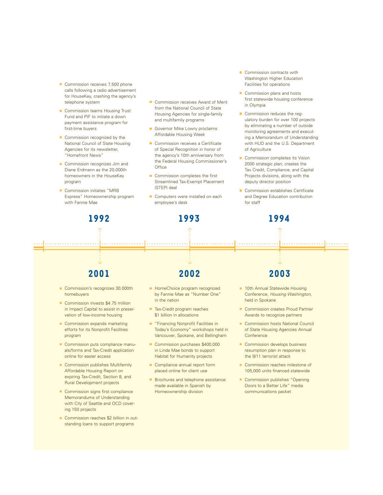- Commission receives 7,500 phone calls following a radio advertisement for HouseKey, crashing the agency's telephone system
- Commission teams Housing Trust Fund and PIF to initiate a down payment assistance program for first-time buyers
- Commission recognized by the National Council of State Housing Agencies for its newsletter, "Homefront News"
- Commission recognizes Jim and Diane Erdmann as the 20,000th homeowners in the HouseKey program
- Commission initiates "MRB Express" Homeownership program with Fannie Mae

- Commission receives Award of Merit from the National Council of State Housing Agencies for single-family and multifamily programs
- Governor Mike Lowry proclaims Affordable Housing Week
- Commission receives a Certificate of Special Recognition in honor of the agency's 10th anniversary from the Federal Housing Commissioner's **Office**
- Commission completes the first Streamlined Tax-Exempt Placement (STEP) deal
- Computers were installed on each employee's desk

### **1993**

- Commission contracts with Washington Higher Education Facilities for operations
- Commission plans and hosts first statewide housing conference in Olympia
- Commission reduces the regulatory burden for over 100 projects by eliminating a number of outside monitoring agreements and executing a Memorandum of Understanding with HUD and the U.S. Department of Agriculture
- Commission completes its Vision 2000 strategic plan; creates the Tax Credit, Compliance, and Capital Projects divisions, along with the deputy director position
- Commission establishes Certificate and Degree Education contribution for staff

**1994**

## **2001**

- Commission's recognizes 30,000th homebuyers
- Commission invests \$4.75 million in Impact Capital to assist in preservation of low-income housing
- Commission expands marketing efforts for its Nonprofit Facilities program
- Commission puts compliance manuals/forms and Tax-Credit application online for easier access
- Commission publishes Multifamily Affordable Housing Report on expiring Tax-Credit, Section 8, and Rural Development projects
- Commission signs first compliance Memorandums of Understanding with City of Seattle and OCD covering 150 projects
- Commission reaches \$2 billion in outstanding loans to support programs

### **2002**

- HomeChoice program recognized by Fannie Mae as "Number One" in the nation
- Tax-Credit program reaches \$1 billion in allocations
- **F** "Financing Nonprofit Facilities in Today's Economy" workshops held in Vancouver, Spokane, and Bellingham
- Commission purchases \$400,000 in Linda Mae bonds to support Habitat for Humanity projects
- Compliance annual report form placed online for client use
- **Brochures and telephone assistance** made available in Spanish by Homeownership division

- **10th Annual Statewide Housing** Conference, Housing Washington, held in Spokane
- Commission creates Proud Partner Awards to recognize partners
- Commission hosts National Council of State Housing Agencies Annual Conference
- Commission develops business resumption plan in response to the 9/11 terrorist attack
- Commission reaches milestone of 105,000 units financed statewide
- Commission publishes "Opening Doors to a Better Life" media communications packet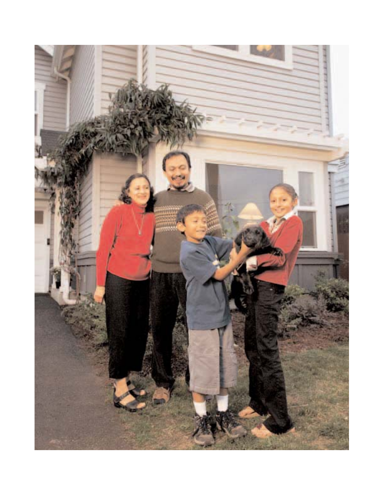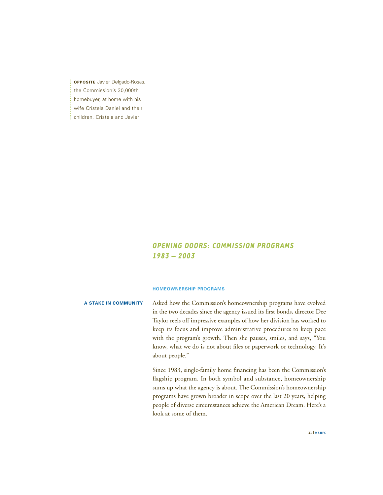**OPPOSITE** Javier Delgado-Rosas, the Commission's 30,000th

homebuyer, at home with his

wife Cristela Daniel and their

children, Cristela and Javier

### *OPENING DOORS: COMMISSION PROGRAMS 1983 – 2003*

#### **HOMEOWNERSHIP PROGRAMS**

Asked how the Commission's homeownership programs have evolved in the two decades since the agency issued its first bonds, director Dee Taylor reels off impressive examples of how her division has worked to keep its focus and improve administrative procedures to keep pace with the program's growth. Then she pauses, smiles, and says, "You know, what we do is not about files or paperwork or technology. It's about people." **A STAKE IN COMMUNITY**

> Since 1983, single-family home financing has been the Commission's flagship program. In both symbol and substance, homeownership sums up what the agency is about. The Commission's homeownership programs have grown broader in scope over the last 20 years, helping people of diverse circumstances achieve the American Dream. Here's a look at some of them.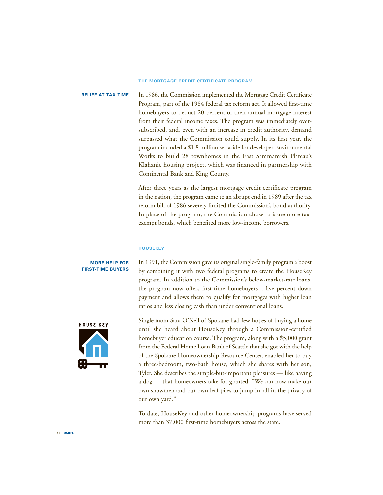#### **THE MORTGAGE CREDIT CERTIFICATE PROGRAM**

In 1986, the Commission implemented the Mortgage Credit Certificate Program, part of the 1984 federal tax reform act. It allowed first-time homebuyers to deduct 20 percent of their annual mortgage interest from their federal income taxes. The program was immediately oversubscribed, and, even with an increase in credit authority, demand surpassed what the Commission could supply. In its first year, the program included a \$1.8 million set-aside for developer Environmental Works to build 28 townhomes in the East Sammamish Plateau's Klahanie housing project, which was financed in partnership with Continental Bank and King County. **RELIEF AT TAX TIME**

> After three years as the largest mortgage credit certificate program in the nation, the program came to an abrupt end in 1989 after the tax reform bill of 1986 severely limited the Commission's bond authority. In place of the program, the Commission chose to issue more taxexempt bonds, which benefited more low-income borrowers.

#### **HOUSEKEY**

#### **MORE HELP FOR FIRST-TIME BUYERS**

**HOUSE KEY** 

In 1991, the Commission gave its original single-family program a boost by combining it with two federal programs to create the HouseKey program. In addition to the Commission's below-market-rate loans, the program now offers first-time homebuyers a five percent down payment and allows them to qualify for mortgages with higher loan ratios and less closing cash than under conventional loans.

Single mom Sara O'Neil of Spokane had few hopes of buying a home until she heard about HouseKey through a Commission-certified homebuyer education course. The program, along with a \$5,000 grant from the Federal Home Loan Bank of Seattle that she got with the help of the Spokane Homeownership Resource Center, enabled her to buy a three-bedroom, two-bath house, which she shares with her son, Tyler. She describes the simple-but-important pleasures — like having a dog — that homeowners take for granted. "We can now make our own snowmen and our own leaf piles to jump in, all in the privacy of our own yard."

To date, HouseKey and other homeownership programs have served more than 37,000 first-time homebuyers across the state.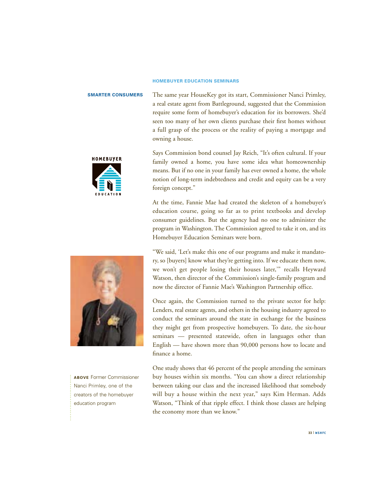#### **HOMEBUYER EDUCATION SEMINARS**

#### **SMARTER CONSUMERS**

The same year HouseKey got its start, Commissioner Nanci Primley, a real estate agent from Battleground, suggested that the Commission require some form of homebuyer's education for its borrowers. She'd seen too many of her own clients purchase their first homes without a full grasp of the process or the reality of paying a mortgage and owning a house.



Says Commission bond counsel Jay Reich, "It's often cultural. If your family owned a home, you have some idea what homeownership means. But if no one in your family has ever owned a home, the whole notion of long-term indebtedness and credit and equity can be a very foreign concept."

At the time, Fannie Mae had created the skeleton of a homebuyer's education course, going so far as to print textbooks and develop consumer guidelines. But the agency had no one to administer the program in Washington. The Commission agreed to take it on, and its Homebuyer Education Seminars were born.

"We said, 'Let's make this one of our programs and make it mandatory, so [buyers] know what they're getting into. If we educate them now, we won't get people losing their houses later,'" recalls Heyward Watson, then director of the Commission's single-family program and now the director of Fannie Mae's Washington Partnership office.

Once again, the Commission turned to the private sector for help: Lenders, real estate agents, and others in the housing industry agreed to conduct the seminars around the state in exchange for the business they might get from prospective homebuyers. To date, the six-hour seminars — presented statewide, often in languages other than English — have shown more than 90,000 persons how to locate and finance a home.

One study shows that 46 percent of the people attending the seminars buy houses within six months. "You can show a direct relationship between taking our class and the increased likelihood that somebody will buy a house within the next year," says Kim Herman. Adds Watson, "Think of that ripple effect. I think those classes are helping the economy more than we know."



**ABOVE** Former Commissioner Nanci Primley, one of the creators of the homebuyer education program

.........................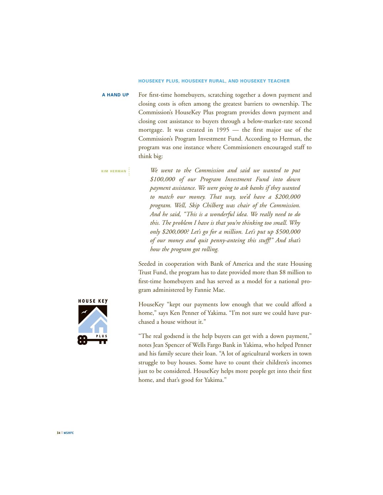#### **HOUSEKEY PLUS, HOUSEKEY RURAL, AND HOUSEKEY TEACHER**

For first-time homebuyers, scratching together a down payment and closing costs is often among the greatest barriers to ownership. The Commission's HouseKey Plus program provides down payment and closing cost assistance to buyers through a below-market-rate second mortgage. It was created in 1995 — the first major use of the Commission's Program Investment Fund. According to Herman, the program was one instance where Commissioners encouraged staff to think big: **A HAND UP**

*We went to the Commission and said we wanted to put \$100,000 of our Program Investment Fund into down payment assistance. We were going to ask banks if they wanted to match our money. That way, we'd have a \$200,000 program. Well, Skip Chilberg was chair of the Commission. And he said, "This is a wonderful idea. We really need to do this. The problem I have is that you're thinking too small. Why only \$200,000? Let's go for a million. Let's put up \$500,000 of our money and quit penny-anteing this stuff!" And that's how the program got rolling.* **KIM HERMAN**

> Seeded in cooperation with Bank of America and the state Housing Trust Fund, the program has to date provided more than \$8 million to first-time homebuyers and has served as a model for a national program administered by Fannie Mae.



HouseKey "kept our payments low enough that we could afford a home," says Ken Penner of Yakima. "I'm not sure we could have purchased a house without it."

"The real godsend is the help buyers can get with a down payment," notes Jean Spencer of Wells Fargo Bank in Yakima, who helped Penner and his family secure their loan. "A lot of agricultural workers in town struggle to buy houses. Some have to count their children's incomes just to be considered. HouseKey helps more people get into their first home, and that's good for Yakima."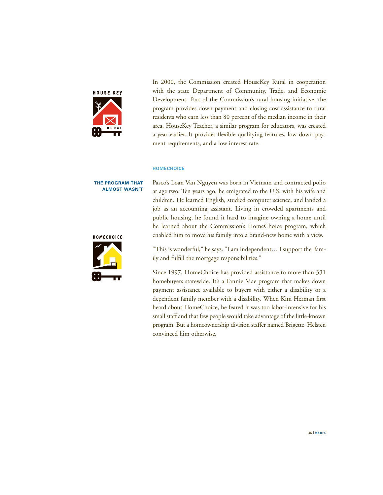

In 2000, the Commission created HouseKey Rural in cooperation with the state Department of Community, Trade, and Economic Development. Part of the Commission's rural housing initiative, the program provides down payment and closing cost assistance to rural residents who earn less than 80 percent of the median income in their area. HouseKey Teacher, a similar program for educators, was created a year earlier. It provides flexible qualifying features, low down payment requirements, and a low interest rate.

#### **HOMECHOICE**

#### **THE PROGRAM THAT ALMOST WASN'T**



Pasco's Loan Van Nguyen was born in Vietnam and contracted polio at age two. Ten years ago, he emigrated to the U.S. with his wife and children. He learned English, studied computer science, and landed a job as an accounting assistant. Living in crowded apartments and public housing, he found it hard to imagine owning a home until he learned about the Commission's HomeChoice program, which enabled him to move his family into a brand-new home with a view.

"This is wonderful," he says. "I am independent… I support the family and fulfill the mortgage responsibilities."

Since 1997, HomeChoice has provided assistance to more than 331 homebuyers statewide. It's a Fannie Mae program that makes down payment assistance available to buyers with either a disability or a dependent family member with a disability. When Kim Herman first heard about HomeChoice, he feared it was too labor-intensive for his small staff and that few people would take advantage of the little-known program. But a homeownership division staffer named Brigette Helsten convinced him otherwise.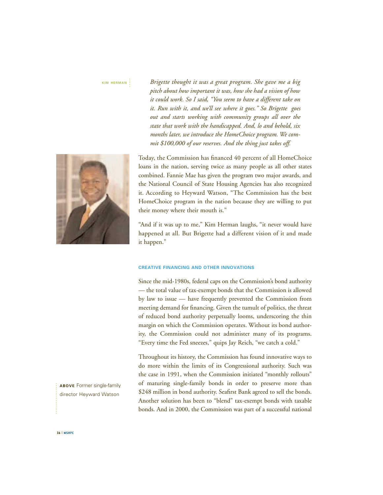#### **KIM HERMAN**

.....

*Brigette thought it was a great program. She gave me a big pitch about how important it was, how she had a vision of how it could work. So I said, "You seem to have a different take on it. Run with it, and we'll see where it goes." So Brigette goes out and starts working with community groups all over the state that work with the handicapped. And, lo and behold, six months later, we introduce the HomeChoice program. We commit \$100,000 of our reserves. And the thing just takes off.*

Today, the Commission has financed 40 percent of all HomeChoice loans in the nation, serving twice as many people as all other states combined. Fannie Mae has given the program two major awards, and the National Council of State Housing Agencies has also recognized it. According to Heyward Watson, "The Commission has the best HomeChoice program in the nation because they are willing to put their money where their mouth is."

"And if it was up to me," Kim Herman laughs, "it never would have happened at all. But Brigette had a different vision of it and made it happen."

#### **CREATIVE FINANCING AND OTHER INNOVATIONS**

Since the mid-1980s, federal caps on the Commission's bond authority — the total value of tax-exempt bonds that the Commission is allowed by law to issue — have frequently prevented the Commission from meeting demand for financing. Given the tumult of politics, the threat of reduced bond authority perpetually looms, underscoring the thin margin on which the Commission operates. Without its bond authority, the Commission could not administer many of its programs. "Every time the Fed sneezes," quips Jay Reich, "we catch a cold."

Throughout its history, the Commission has found innovative ways to do more within the limits of its Congressional authority. Such was the case in 1991, when the Commission initiated "monthly rollouts" of maturing single-family bonds in order to preserve more than \$248 million in bond authority. Seafirst Bank agreed to sell the bonds. Another solution has been to "blend" tax-exempt bonds with taxable bonds. And in 2000, the Commission was part of a successful national

**ABOVE** Former single-family director Heyward Watson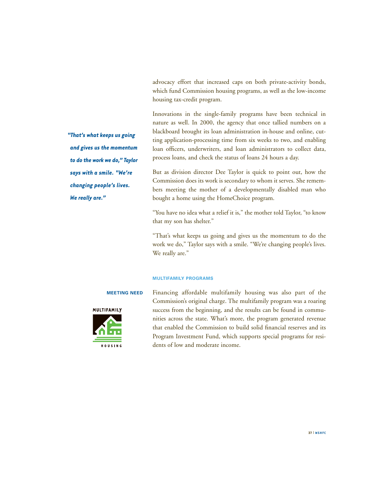advocacy effort that increased caps on both private-activity bonds, which fund Commission housing programs, as well as the low-income housing tax-credit program.

Innovations in the single-family programs have been technical in nature as well. In 2000, the agency that once tallied numbers on a blackboard brought its loan administration in-house and online, cutting application-processing time from six weeks to two, and enabling loan officers, underwriters, and loan administrators to collect data, process loans, and check the status of loans 24 hours a day.

But as division director Dee Taylor is quick to point out, how the Commission does its work is secondary to whom it serves. She remembers meeting the mother of a developmentally disabled man who bought a home using the HomeChoice program.

"You have no idea what a relief it is," the mother told Taylor, "to know that my son has shelter."

"That's what keeps us going and gives us the momentum to do the work we do," Taylor says with a smile. "We're changing people's lives. We really are."

#### **MULTIFAMILY PROGRAMS**

#### **MEETING NEED**



Financing affordable multifamily housing was also part of the Commission's original charge. The multifamily program was a roaring success from the beginning, and the results can be found in communities across the state. What's more, the program generated revenue that enabled the Commission to build solid financial reserves and its Program Investment Fund, which supports special programs for residents of low and moderate income.

*"That's what keeps us going and gives us the momentum to do the work we do," Taylor says with a smile. "We're changing people's lives. We really are."*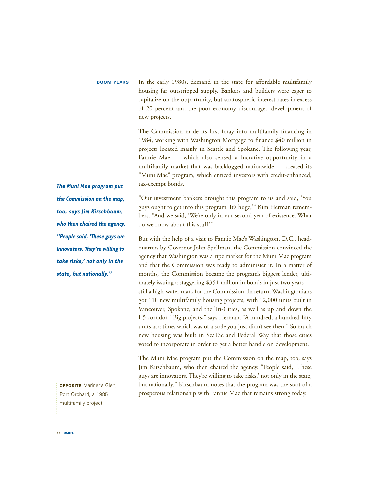In the early 1980s, demand in the state for affordable multifamily housing far outstripped supply. Bankers and builders were eager to capitalize on the opportunity, but stratospheric interest rates in excess of 20 percent and the poor economy discouraged development of new projects. **BOOM YEARS**

> The Commission made its first foray into multifamily financing in 1984, working with Washington Mortgage to finance \$40 million in projects located mainly in Seattle and Spokane. The following year, Fannie Mae — which also sensed a lucrative opportunity in a multifamily market that was backlogged nationwide — created its "Muni Mae" program, which enticed investors with credit-enhanced, tax-exempt bonds.

> "Our investment bankers brought this program to us and said, 'You guys ought to get into this program. It's huge,'" Kim Herman remembers. "And we said, 'We're only in our second year of existence. What do we know about this stuff?'"

> But with the help of a visit to Fannie Mae's Washington, D.C., headquarters by Governor John Spellman, the Commission convinced the agency that Washington was a ripe market for the Muni Mae program and that the Commission was ready to administer it. In a matter of months, the Commission became the program's biggest lender, ultimately issuing a staggering \$351 million in bonds in just two years still a high-water mark for the Commission. In return, Washingtonians got 110 new multifamily housing projects, with 12,000 units built in Vancouver, Spokane, and the Tri-Cities, as well as up and down the I-5 corridor. "Big projects," says Herman. "A hundred, a hundred-fifty units at a time, which was of a scale you just didn't see then." So much new housing was built in SeaTac and Federal Way that those cities voted to incorporate in order to get a better handle on development.

> The Muni Mae program put the Commission on the map, too, says Jim Kirschbaum, who then chaired the agency. "People said, 'These guys are innovators. They're willing to take risks,' not only in the state, but nationally." Kirschbaum notes that the program was the start of a prosperous relationship with Fannie Mae that remains strong today.

*The Muni Mae program put the Commission on the map, too, says Jim Kirschbaum, who then chaired the agency. "People said, 'These guys are innovators. They're willing to take risks,' not only in the state, but nationally."*

**OPPOSITE** Mariner's Glen, Port Orchard, a 1985 multifamily project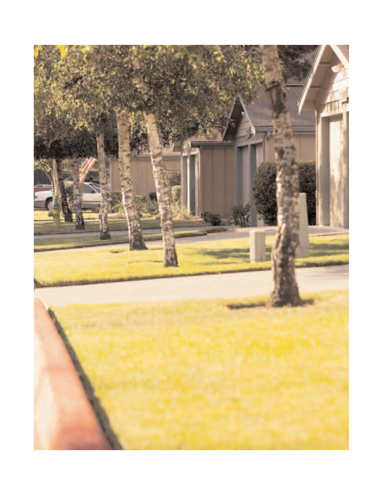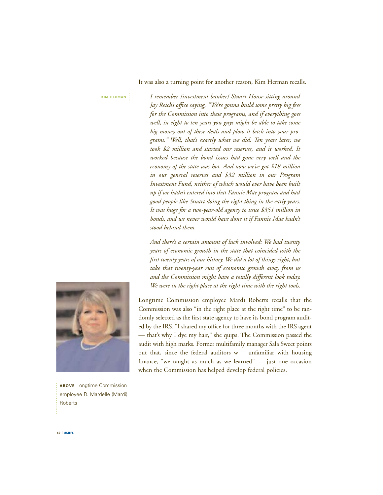It was also a turning point for another reason, Kim Herman recalls.

**KIM HERMAN**

*I remember [investment banker] Stuart Honse sitting around Jay Reich's office saying, "We're gonna build some pretty big fees for the Commission into these programs, and if everything goes well, in eight to ten years you guys might be able to take some big money out of these deals and plow it back into your programs." Well, that's exactly what we did. Ten years later, we took \$2 million and started our reserves, and it worked. It worked because the bond issues had gone very well and the economy of the state was hot. And now we've got \$18 million in our general reserves and \$32 million in our Program Investment Fund, neither of which would ever have been built up if we hadn't entered into that Fannie Mae program and had good people like Stuart doing the right thing in the early years. It was huge for a two-year-old agency to issue \$351 million in bonds, and we never would have done it if Fannie Mae hadn't stood behind them.*

*And there's a certain amount of luck involved: We had twenty years of economic growth in the state that coincided with the first twenty years of our history. We did a lot of things right, but take that twenty-year run of economic growth away from us and the Commission might have a totally different look today. We were in the right place at the right time with the right tools.*

Longtime Commission employee Mardi Roberts recalls that the Commission was also "in the right place at the right time" to be randomly selected as the first state agency to have its bond program audited by the IRS. "I shared my office for three months with the IRS agent — that's why I dye my hair," she quips. The Commission passed the audit with high marks. Former multifamily manager Sala Sweet points out that, since the federal auditors w unfamiliar with housing finance, "we taught as much as we learned" — just one occasion when the Commission has helped develop federal policies.



**ABOVE** Longtime Commission employee R. Mardelle (Mardi) Roberts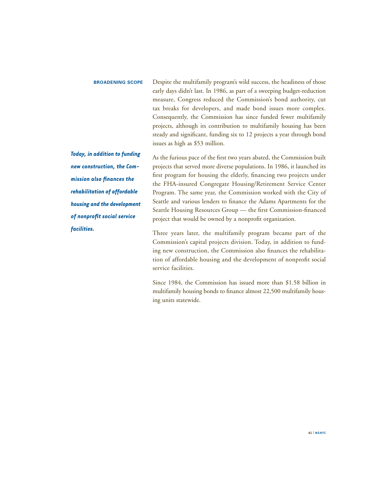Despite the multifamily program's wild success, the headiness of those early days didn't last. In 1986, as part of a sweeping budget-reduction measure, Congress reduced the Commission's bond authority, cut tax breaks for developers, and made bond issues more complex. Consequently, the Commission has since funded fewer multifamily projects, although its contribution to multifamily housing has been steady and significant, funding six to 12 projects a year through bond issues as high as \$53 million. **BROADENING SCOPE**

*Today, in addition to funding new construction, the Commission also finances the rehabilitation of affordable housing and the development of nonprofit social service facilities.*

As the furious pace of the first two years abated, the Commission built projects that served more diverse populations. In 1986, it launched its first program for housing the elderly, financing two projects under the FHA-insured Congregate Housing/Retirement Service Center Program. The same year, the Commission worked with the City of Seattle and various lenders to finance the Adams Apartments for the Seattle Housing Resources Group — the first Commission-financed project that would be owned by a nonprofit organization.

Three years later, the multifamily program became part of the Commission's capital projects division. Today, in addition to funding new construction, the Commission also finances the rehabilitation of affordable housing and the development of nonprofit social service facilities.

Since 1984, the Commission has issued more than \$1.58 billion in multifamily housing bonds to finance almost 22,500 multifamily housing units statewide.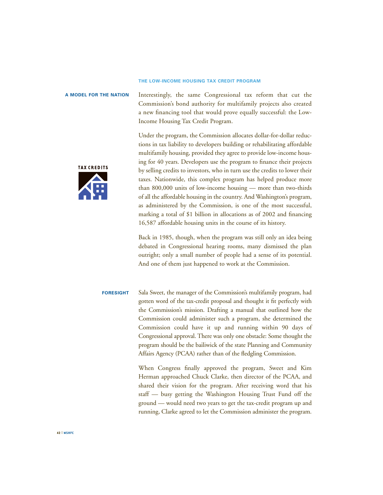#### **THE LOW-INCOME HOUSING TAX CREDIT PROGRAM**

Interestingly, the same Congressional tax reform that cut the Commission's bond authority for multifamily projects also created a new financing tool that would prove equally successful: the Low-Income Housing Tax Credit Program. **A MODEL FOR THE NATION**



Under the program, the Commission allocates dollar-for-dollar reductions in tax liability to developers building or rehabilitating affordable multifamily housing, provided they agree to provide low-income housing for 40 years. Developers use the program to finance their projects by selling credits to investors, who in turn use the credits to lower their taxes. Nationwide, this complex program has helped produce more than 800,000 units of low-income housing — more than two-thirds of all the affordable housing in the country. And Washington's program, as administered by the Commission, is one of the most successful, marking a total of \$1 billion in allocations as of 2002 and financing 16,587 affordable housing units in the course of its history.

Back in 1985, though, when the program was still only an idea being debated in Congressional hearing rooms, many dismissed the plan outright; only a small number of people had a sense of its potential. And one of them just happened to work at the Commission.

Sala Sweet, the manager of the Commission's multifamily program, had gotten word of the tax-credit proposal and thought it fit perfectly with the Commission's mission. Drafting a manual that outlined how the Commission could administer such a program, she determined the Commission could have it up and running within 90 days of Congressional approval. There was only one obstacle: Some thought the program should be the bailiwick of the state Planning and Community Affairs Agency (PCAA) rather than of the fledgling Commission. **FORESIGHT**

> When Congress finally approved the program, Sweet and Kim Herman approached Chuck Clarke, then director of the PCAA, and shared their vision for the program. After receiving word that his staff — busy getting the Washington Housing Trust Fund off the ground — would need two years to get the tax-credit program up and running, Clarke agreed to let the Commission administer the program.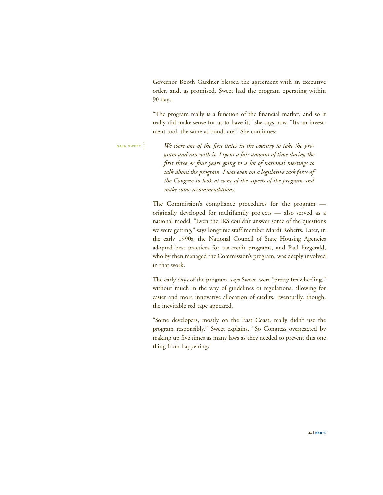Governor Booth Gardner blessed the agreement with an executive order, and, as promised, Sweet had the program operating within 90 days.

"The program really is a function of the financial market, and so it really did make sense for us to have it," she says now. "It's an investment tool, the same as bonds are." She continues:

**SALA SWEET**

*We were one of the first states in the country to take the program and run with it. I spent a fair amount of time during the first three or four years going to a lot of national meetings to talk about the program. I was even on a legislative task force of the Congress to look at some of the aspects of the program and make some recommendations.*

The Commission's compliance procedures for the program originally developed for multifamily projects — also served as a national model. "Even the IRS couldn't answer some of the questions we were getting," says longtime staff member Mardi Roberts. Later, in the early 1990s, the National Council of State Housing Agencies adopted best practices for tax-credit programs, and Paul fitzgerald, who by then managed the Commission's program, was deeply involved in that work.

The early days of the program, says Sweet, were "pretty freewheeling," without much in the way of guidelines or regulations, allowing for easier and more innovative allocation of credits. Eventually, though, the inevitable red tape appeared.

"Some developers, mostly on the East Coast, really didn't use the program responsibly," Sweet explains. "So Congress overreacted by making up five times as many laws as they needed to prevent this one thing from happening."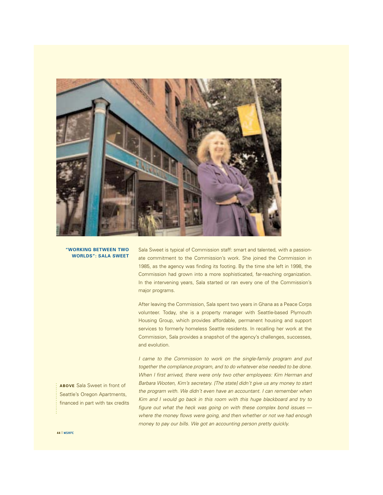

**"WORKING BETWEEN TWO WORLDS": SALA SWEET**

Sala Sweet is typical of Commission staff: smart and talented, with a passionate commitment to the Commission's work. She joined the Commission in 1985, as the agency was finding its footing. By the time she left in 1998, the Commission had grown into a more sophisticated, far-reaching organization. In the intervening years, Sala started or ran every one of the Commission's major programs.

After leaving the Commission, Sala spent two years in Ghana as a Peace Corps volunteer. Today, she is a property manager with Seattle-based Plymouth Housing Group, which provides affordable, permanent housing and support services to formerly homeless Seattle residents. In recalling her work at the Commission, Sala provides a snapshot of the agency's challenges, successes, and evolution.

I came to the Commission to work on the single-family program and put together the compliance program, and to do whatever else needed to be done. When I first arrived, there were only two other employees: Kim Herman and Barbara Wooten, Kim's secretary. [The state] didn't give us any money to start the program with. We didn't even have an accountant. I can remember when Kim and I would go back in this room with this huge blackboard and try to figure out what the heck was going on with these complex bond issues where the money flows were going, and then whether or not we had enough money to pay our bills. We got an accounting person pretty quickly.

**ABOVE** Sala Sweet in front of Seattle's Oregon Apartments, financed in part with tax credits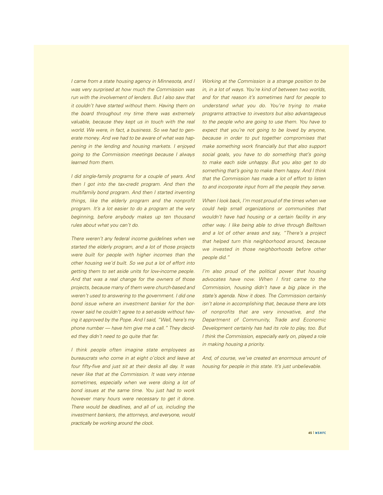I came from a state housing agency in Minnesota, and I was very surprised at how much the Commission was run with the involvement of lenders. But I also saw that it couldn't have started without them. Having them on the board throughout my time there was extremely valuable, because they kept us in touch with the real world. We were, in fact, a business. So we had to generate money. And we had to be aware of what was happening in the lending and housing markets. I enjoyed going to the Commission meetings because I always learned from them.

I did single-family programs for a couple of years. And then I got into the tax-credit program. And then the multifamily bond program. And then I started inventing things, like the elderly program and the nonprofit program. It's a lot easier to do a program at the very beginning, before anybody makes up ten thousand rules about what you can't do.

There weren't any federal income guidelines when we started the elderly program, and a lot of those projects were built for people with higher incomes than the other housing we'd built. So we put a lot of effort into getting them to set aside units for low-income people. And that was a real change for the owners of those projects, because many of them were church-based and weren't used to answering to the government. I did one bond issue where an investment banker for the borrower said he couldn't agree to a set-aside without having it approved by the Pope. And I said, "Well, here's my phone number — have him give me a call." They decided they didn't need to go quite that far.

I think people often imagine state employees as bureaucrats who come in at eight o'clock and leave at four fifty-five and just sit at their desks all day. It was never like that at the Commission. It was very intense sometimes, especially when we were doing a lot of bond issues at the same time. You just had to work however many hours were necessary to get it done. There would be deadlines, and all of us, including the investment bankers, the attorneys, and everyone, would practically be working around the clock.

Working at the Commission is a strange position to be in, in a lot of ways. You're kind of between two worlds, and for that reason it's sometimes hard for people to understand what you do. You're trying to make programs attractive to investors but also advantageous to the people who are going to use them. You have to expect that you're not going to be loved by anyone, because in order to put together compromises that make something work financially but that also support social goals, you have to do something that's going to make each side unhappy. But you also get to do something that's going to make them happy. And I think that the Commission has made a lot of effort to listen to and incorporate input from all the people they serve.

When I look back, I'm most proud of the times when we could help small organizations or communities that wouldn't have had housing or a certain facility in any other way. I like being able to drive through Belltown and a lot of other areas and say, "There's a project that helped turn this neighborhood around, because we invested in those neighborhoods before other people did."

I'm also proud of the political power that housing advocates have now. When I first came to the Commission, housing didn't have a big place in the state's agenda. Now it does. The Commission certainly isn't alone in accomplishing that, because there are lots of nonprofits that are very innovative, and the Department of Community, Trade and Economic Development certainly has had its role to play, too. But I think the Commission, especially early on, played a role in making housing a priority.

And, of course, we've created an enormous amount of housing for people in this state. It's just unbelievable.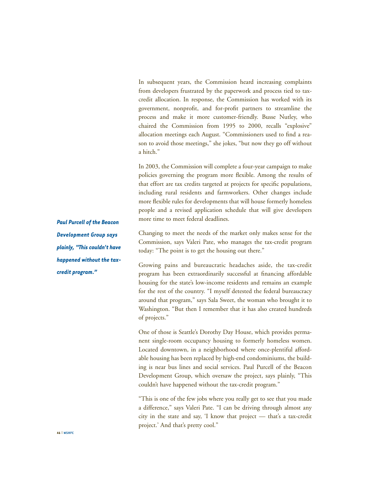In subsequent years, the Commission heard increasing complaints from developers frustrated by the paperwork and process tied to taxcredit allocation. In response, the Commission has worked with its government, nonprofit, and for-profit partners to streamline the process and make it more customer-friendly. Busse Nutley, who chaired the Commission from 1995 to 2000, recalls "explosive" allocation meetings each August. "Commissioners used to find a reason to avoid those meetings," she jokes, "but now they go off without a hitch."

In 2003, the Commission will complete a four-year campaign to make policies governing the program more flexible. Among the results of that effort are tax credits targeted at projects for specific populations, including rural residents and farmworkers. Other changes include more flexible rules for developments that will house formerly homeless people and a revised application schedule that will give developers more time to meet federal deadlines.

Changing to meet the needs of the market only makes sense for the Commission, says Valeri Pate, who manages the tax-credit program today: "The point is to get the housing out there."

Growing pains and bureaucratic headaches aside, the tax-credit program has been extraordinarily successful at financing affordable housing for the state's low-income residents and remains an example for the rest of the country. "I myself detested the federal bureaucracy around that program," says Sala Sweet, the woman who brought it to Washington. "But then I remember that it has also created hundreds of projects."

One of those is Seattle's Dorothy Day House, which provides permanent single-room occupancy housing to formerly homeless women. Located downtown, in a neighborhood where once-plentiful affordable housing has been replaced by high-end condominiums, the building is near bus lines and social services. Paul Purcell of the Beacon Development Group, which oversaw the project, says plainly, "This couldn't have happened without the tax-credit program."

"This is one of the few jobs where you really get to see that you made a difference," says Valeri Pate. "I can be driving through almost any city in the state and say, 'I know that project — that's a tax-credit project.' And that's pretty cool."

*Paul Purcell of the Beacon Development Group says plainly, "This couldn't have happened without the taxcredit program."*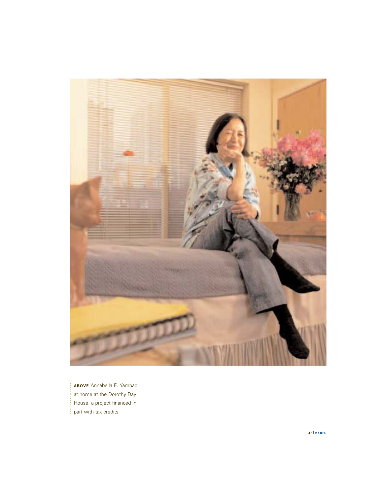

**ABOVE** Annabella E. Yambao at home at the Dorothy Day House, a project financed in part with tax credits

÷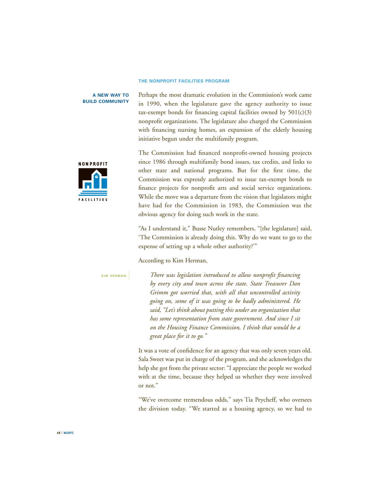#### **THE NONPROFIT FACILITIES PROGRAM**

**A NEW WAY TO BUILD COMMUNITY**



Perhaps the most dramatic evolution in the Commission's work came in 1990, when the legislature gave the agency authority to issue tax-exempt bonds for financing capital facilities owned by  $501(c)(3)$ nonprofit organizations. The legislature also charged the Commission with financing nursing homes, an expansion of the elderly housing initiative begun under the multifamily program.

The Commission had financed nonprofit-owned housing projects since 1986 through multifamily bond issues, tax credits, and links to other state and national programs. But for the first time, the Commission was expressly authorized to issue tax-exempt bonds to finance projects for nonprofit arts and social service organizations. While the move was a departure from the vision that legislators might have had for the Commission in 1983, the Commission was the obvious agency for doing such work in the state.

"As I understand it," Busse Nutley remembers, "[the legislature] said, 'The Commission is already doing this. Why do we want to go to the expense of setting up a whole other authority?'"

According to Kim Herman,

**KIM HERMAN**

*There was legislation introduced to allow nonprofit financing by every city and town across the state. State Treasurer Dan Grimm got worried that, with all that uncontrolled activity going on, some of it was going to be badly administered. He said, "Let's think about putting this under an organization that has some representation from state government. And since I sit on the Housing Finance Commission, I think that would be a great place for it to go."*

It was a vote of confidence for an agency that was only seven years old. Sala Sweet was put in charge of the program, and she acknowledges the help she got from the private sector: "I appreciate the people we worked with at the time, because they helped us whether they were involved or not."

"We've overcome tremendous odds," says Tia Peycheff, who oversees the division today. "We started as a housing agency, so we had to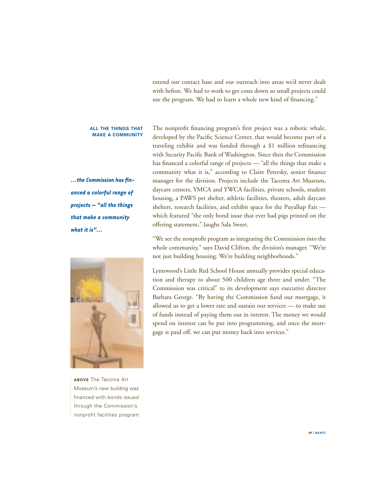extend our contact base and our outreach into areas we'd never dealt with before. We had to work to get costs down so small projects could use the program. We had to learn a whole new kind of financing."

#### **ALL THE THINGS THAT MAKE A COMMUNITY**

*…the Commission has financed a colorful range of projects — "all the things that make a community what it is"…*



**ABOVE** The Tacoma Art Museum's new building was financed with bonds issued through the Commission's nonprofit facilities program The nonprofit financing program's first project was a robotic whale, developed by the Pacific Science Center, that would become part of a traveling exhibit and was funded through a \$1 million refinancing with Security Pacific Bank of Washington. Since then the Commission has financed a colorful range of projects — "all the things that make a community what it is," according to Claire Petersky, senior finance manager for the division. Projects include the Tacoma Art Museum, daycare centers, YMCA and YWCA facilities, private schools, student housing, a PAWS pet shelter, athletic facilities, theaters, adult daycare shelters, research facilities, and exhibit space for the Puyallup Fair which featured "the only bond issue that ever had pigs printed on the offering statement," laughs Sala Sweet.

"We see the nonprofit program as integrating the Commission into the whole community," says David Clifton, the division's manager. "We're not just building housing. We're building neighborhoods."

Lynnwood's Little Red School House annually provides special education and therapy to about 500 children age three and under. "The Commission was critical" to its development says executive director Barbara George. "By having the Commission fund our mortgage, it allowed us to get a lower rate and sustain our services — to make use of funds instead of paying them out in interest. The money we would spend on interest can be put into programming, and once the mortgage is paid off, we can put money back into services."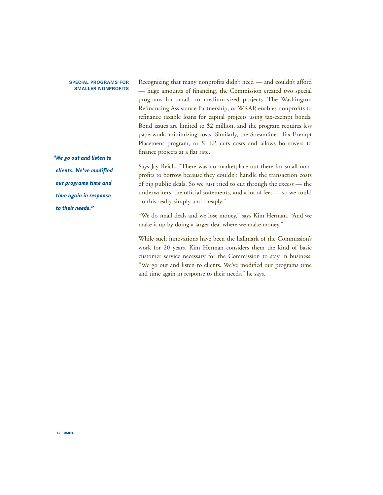#### **SPECIAL PROGRAMS FOR SMALLER NONPROFITS**

*"We go out and listen to clients. We've modified our programs time and time again in response to their needs."*

Recognizing that many nonprofits didn't need — and couldn't afford — huge amounts of financing, the Commission created two special programs for small- to medium-sized projects. The Washington Refinancing Assistance Partnership, or WRAP, enables nonprofits to refinance taxable loans for capital projects using tax-exempt bonds. Bond issues are limited to \$2 million, and the program requires less paperwork, minimizing costs. Similarly, the Streamlined Tax-Exempt Placement program, or STEP, cuts costs and allows borrowers to finance projects at a flat rate.

Says Jay Reich, "There was no marketplace out there for small nonprofits to borrow because they couldn't handle the transaction costs of big public deals. So we just tried to cut through the excess — the underwriters, the official statements, and a lot of fees — so we could do this really simply and cheaply."

"We do small deals and we lose money," says Kim Herman. "And we make it up by doing a larger deal where we make money."

While such innovations have been the hallmark of the Commission's work for 20 years, Kim Herman considers them the kind of basic customer service necessary for the Commission to stay in business. "We go out and listen to clients. We've modified our programs time and time again in response to their needs," he says.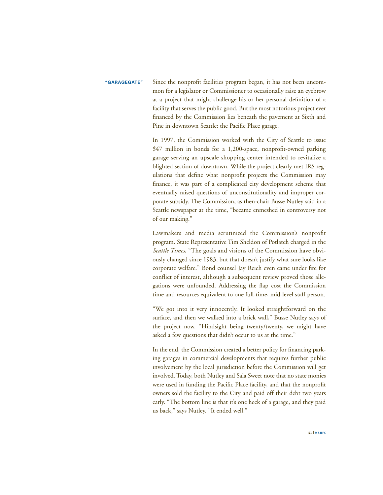#### Since the nonprofit facilities program began, it has not been uncommon for a legislator or Commissioner to occasionally raise an eyebrow at a project that might challenge his or her personal definition of a facility that serves the public good. But the most notorious project ever financed by the Commission lies beneath the pavement at Sixth and Pine in downtown Seattle: the Pacific Place garage. **"GARAGEGATE"**

In 1997, the Commission worked with the City of Seattle to issue \$47 million in bonds for a 1,200-space, nonprofit-owned parking garage serving an upscale shopping center intended to revitalize a blighted section of downtown. While the project clearly met IRS regulations that define what nonprofit projects the Commission may finance, it was part of a complicated city development scheme that eventually raised questions of unconstitutionality and improper corporate subsidy. The Commission, as then-chair Busse Nutley said in a Seattle newspaper at the time, "became enmeshed in controversy not of our making."

Lawmakers and media scrutinized the Commission's nonprofit program. State Representative Tim Sheldon of Potlatch charged in the *Seattle Times*, "The goals and visions of the Commission have obviously changed since 1983, but that doesn't justify what sure looks like corporate welfare." Bond counsel Jay Reich even came under fire for conflict of interest, although a subsequent review proved those allegations were unfounded. Addressing the flap cost the Commission time and resources equivalent to one full-time, mid-level staff person.

"We got into it very innocently. It looked straightforward on the surface, and then we walked into a brick wall," Busse Nutley says of the project now. "Hindsight being twenty/twenty, we might have asked a few questions that didn't occur to us at the time."

In the end, the Commission created a better policy for financing parking garages in commercial developments that requires further public involvement by the local jurisdiction before the Commission will get involved. Today, both Nutley and Sala Sweet note that no state monies were used in funding the Pacific Place facility, and that the nonprofit owners sold the facility to the City and paid off their debt two years early. "The bottom line is that it's one heck of a garage, and they paid us back," says Nutley. "It ended well."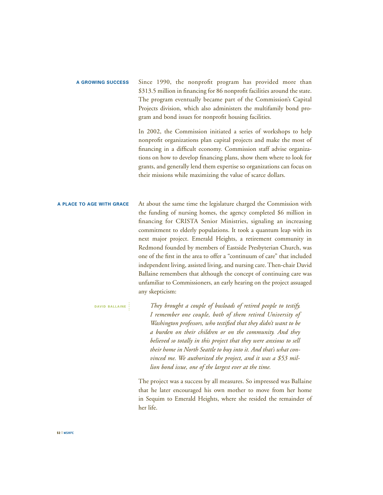#### Since 1990, the nonprofit program has provided more than \$313.5 million in financing for 86 nonprofit facilities around the state. The program eventually became part of the Commission's Capital Projects division, which also administers the multifamily bond program and bond issues for nonprofit housing facilities. **A GROWING SUCCESS**

In 2002, the Commission initiated a series of workshops to help nonprofit organizations plan capital projects and make the most of financing in a difficult economy. Commission staff advise organizations on how to develop financing plans, show them where to look for grants, and generally lend them expertise so organizations can focus on their missions while maximizing the value of scarce dollars.

At about the same time the legislature charged the Commission with the funding of nursing homes, the agency completed \$6 million in financing for CRISTA Senior Ministries, signaling an increasing commitment to elderly populations. It took a quantum leap with its next major project. Emerald Heights, a retirement community in Redmond founded by members of Eastside Presbyterian Church, was one of the first in the area to offer a "continuum of care" that included independent living, assisted living, and nursing care. Then-chair David Ballaine remembers that although the concept of continuing care was unfamiliar to Commissioners, an early hearing on the project assuaged any skepticism: **A PLACE TO AGE WITH GRACE**

**DAVID BALLAINE**

*They brought a couple of busloads of retired people to testify. I remember one couple, both of them retired University of Washington professors, who testified that they didn't want to be a burden on their children or on the community. And they believed so totally in this project that they were anxious to sell their home in North Seattle to buy into it. And that's what convinced me. We authorized the project, and it was a \$53 million bond issue, one of the largest ever at the time.*

The project was a success by all measures. So impressed was Ballaine that he later encouraged his own mother to move from her home in Sequim to Emerald Heights, where she resided the remainder of her life.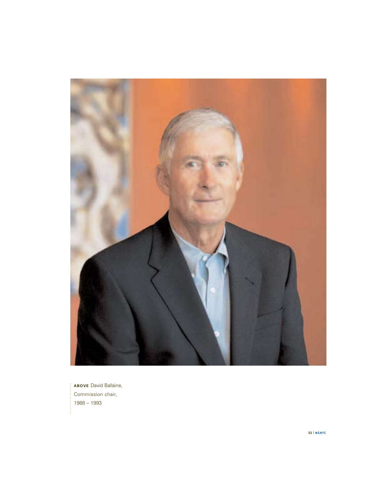

**ABOVE** David Ballaine, Commission chair, 1988 – 1993

.................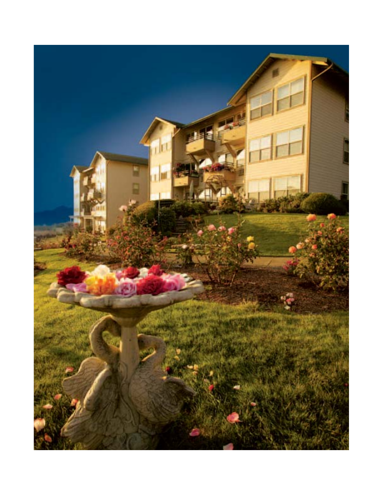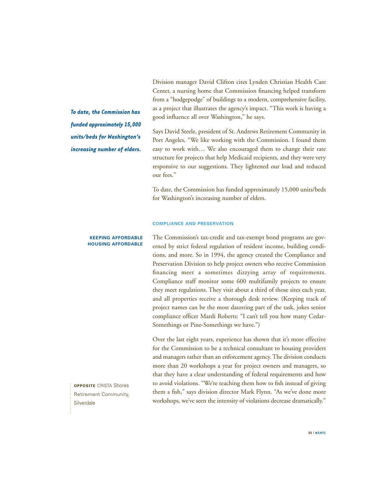*To date, the Commission has funded approximately 15,000 units/beds for Washington's increasing number of elders.*

Division manager David Clifton cites Lynden Christian Health Care Center, a nursing home that Commission financing helped transform from a "hodgepodge" of buildings to a modern, comprehensive facility, as a project that illustrates the agency's impact. "This work is having a good influence all over Washington," he says.

Says David Steele, president of St. Andrews Retirement Community in Port Angeles, "We like working with the Commission. I found them easy to work with… We also encouraged them to change their rate structure for projects that help Medicaid recipients, and they were very responsive to our suggestions. They lightened our load and reduced our fees."

To date, the Commission has funded approximately 15,000 units/beds for Washington's increasing number of elders.

#### **COMPLIANCE AND PRESERVATION**

#### **KEEPING AFFORDABLE HOUSING AFFORDABLE**

The Commission's tax-credit and tax-exempt bond programs are governed by strict federal regulation of resident income, building conditions, and more. So in 1994, the agency created the Compliance and Preservation Division to help project owners who receive Commission financing meet a sometimes dizzying array of requirements. Compliance staff monitor some 600 multifamily projects to ensure they meet regulations. They visit about a third of those sites each year, and all properties receive a thorough desk review. (Keeping track of project names can be the most daunting part of the task, jokes senior compliance officer Mardi Roberts: "I can't tell you how many Cedar-Somethings or Pine-Somethings we have.")

Over the last eight years, experience has shown that it's more effective for the Commission to be a technical consultant to housing providers and managers rather than an enforcement agency. The division conducts more than 20 workshops a year for project owners and managers, so that they have a clear understanding of federal requirements and how to avoid violations. "We're teaching them how to fish instead of giving them a fish," says division director Mark Flynn. "As we've done more workshops, we've seen the intensity of violations decrease dramatically."

**OPPOSITE** CRISTA Shores Retirement Community, **Silverdale** 

.................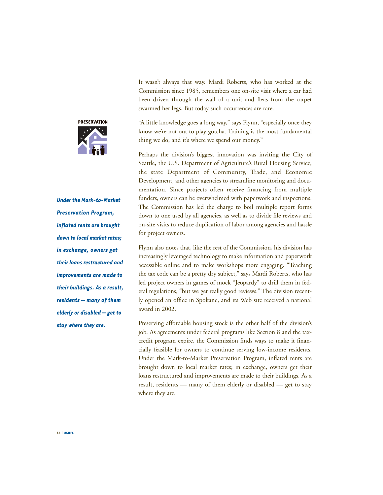

*Under the Mark-to-Market Preservation Program, inflated rents are brought down to local market rates; in exchange, owners get their loans restructured and improvements are made to their buildings. As a result, residents — many of them elderly or disabled — get to stay where they are.*

It wasn't always that way. Mardi Roberts, who has worked at the Commission since 1985, remembers one on-site visit where a car had been driven through the wall of a unit and fleas from the carpet swarmed her legs. But today such occurrences are rare.

"A little knowledge goes a long way," says Flynn, "especially once they know we're not out to play gotcha. Training is the most fundamental thing we do, and it's where we spend our money."

Perhaps the division's biggest innovation was inviting the City of Seattle, the U.S. Department of Agriculture's Rural Housing Service, the state Department of Community, Trade, and Economic Development, and other agencies to streamline monitoring and documentation. Since projects often receive financing from multiple funders, owners can be overwhelmed with paperwork and inspections. The Commission has led the charge to boil multiple report forms down to one used by all agencies, as well as to divide file reviews and on-site visits to reduce duplication of labor among agencies and hassle for project owners.

Flynn also notes that, like the rest of the Commission, his division has increasingly leveraged technology to make information and paperwork accessible online and to make workshops more engaging. "Teaching the tax code can be a pretty dry subject," says Mardi Roberts, who has led project owners in games of mock "Jeopardy" to drill them in federal regulations, "but we get really good reviews." The division recently opened an office in Spokane, and its Web site received a national award in 2002.

Preserving affordable housing stock is the other half of the division's job. As agreements under federal programs like Section 8 and the taxcredit program expire, the Commission finds ways to make it financially feasible for owners to continue serving low-income residents. Under the Mark-to-Market Preservation Program, inflated rents are brought down to local market rates; in exchange, owners get their loans restructured and improvements are made to their buildings. As a result, residents — many of them elderly or disabled — get to stay where they are.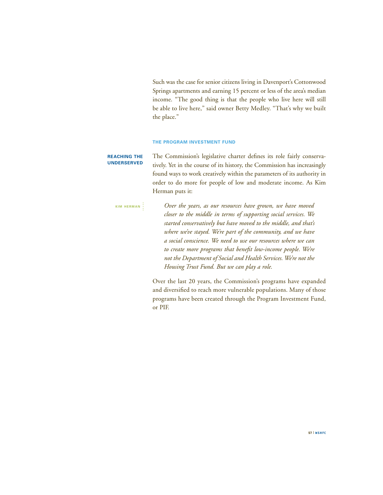Such was the case for senior citizens living in Davenport's Cottonwood Springs apartments and earning 15 percent or less of the area's median income. "The good thing is that the people who live here will still be able to live here," said owner Betty Medley. "That's why we built the place."

#### **THE PROGRAM INVESTMENT FUND**

#### **REACHING THE UNDERSERVED**

The Commission's legislative charter defines its role fairly conservatively. Yet in the course of its history, the Commission has increasingly found ways to work creatively within the parameters of its authority in order to do more for people of low and moderate income. As Kim Herman puts it:

**KIM HERMAN**

*Over the years, as our resources have grown, we have moved closer to the middle in terms of supporting social services. We started conservatively but have moved to the middle, and that's where we've stayed. We're part of the community, and we have a social conscience. We need to use our resources where we can to create more programs that benefit low-income people. We're not the Department of Social and Health Services. We're not the Housing Trust Fund. But we can play a role.*

Over the last 20 years, the Commission's programs have expanded and diversified to reach more vulnerable populations. Many of those programs have been created through the Program Investment Fund, or PIF.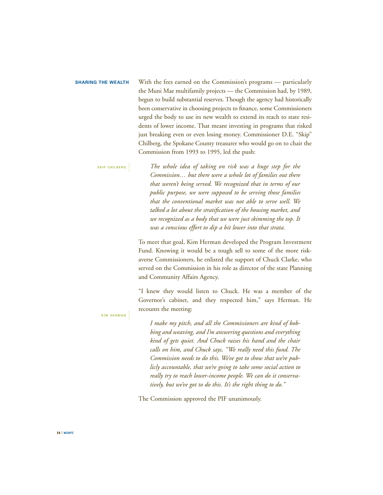### With the fees earned on the Commission's programs — particularly the Muni Mae multifamily projects — the Commission had, by 1989, begun to build substantial reserves. Though the agency had historically been conservative in choosing projects to finance, some Commissioners urged the body to use its new wealth to extend its reach to state residents of lower income. That meant investing in programs that risked just breaking even or even losing money. Commissioner D.E. "Skip" Chilberg, the Spokane County treasurer who would go on to chair the Commission from 1993 to 1995, led the push: **SHARING THE WEALTH**

*The whole idea of taking on risk was a huge step for the Commission… but there were a whole lot of families out there that weren't being served. We recognized that in terms of our public purpose, we were supposed to be serving those families that the conventional market was not able to serve well. We talked a lot about the stratification of the housing market, and we recognized as a body that we were just skimming the top. It was a conscious effort to dip a bit lower into that strata.*

To meet that goal, Kim Herman developed the Program Investment Fund. Knowing it would be a tough sell to some of the more riskaverse Commissioners, he enlisted the support of Chuck Clarke, who served on the Commission in his role as director of the state Planning and Community Affairs Agency.

"I knew they would listen to Chuck. He was a member of the Governor's cabinet, and they respected him," says Herman. He recounts the meeting:

**KIM HERMAN**

**SKIP CHILBERG**

*I make my pitch, and all the Commissioners are kind of bobbing and weaving, and I'm answering questions and everything kind of gets quiet. And Chuck raises his hand and the chair calls on him, and Chuck says, "We really need this fund. The Commission needs to do this. We've got to show that we're publicly accountable, that we're going to take some social action to really try to reach lower-income people. We can do it conservatively, but we've got to do this. It's the right thing to do."*

The Commission approved the PIF unanimously.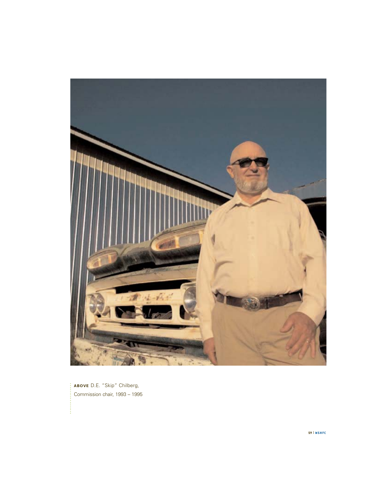

**ABOVE** D.E. "Skip" Chilberg, Commission chair, 1993 – 1995

.................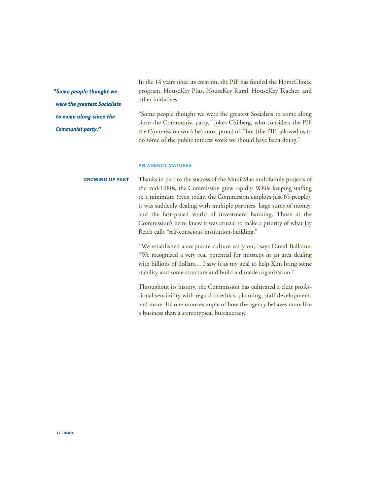program, HouseKey Plus, HouseKey Rural, HouseKey Teacher, and other initiatives. "Some people thought we were the greatest Socialists to come along since the Communist party," jokes Chilberg, who considers the PIF the Commission work he's most proud of, "but [the PIF] allowed us to do some of the public interest work we should have been doing." **AN AGENCY MATURES** Thanks in part to the success of the Muni Mae multifamily projects of the mid-1980s, the Commission grew rapidly. While keeping staffing to a minimum (even today, the Commission employs just 65 people), it was suddenly dealing with multiple partners, large sums of money, and the fast-paced world of investment banking. Those at the Commission's helm knew it was crucial to make a priority of what Jay Reich calls "self-conscious institution-building." **GROWING UP FAST** *"Some people thought we were the greatest Socialists to come along since the Communist party."*

> "We established a corporate culture early on," says David Ballaine. "We recognized a very real potential for missteps in an area dealing with billions of dollars… I saw it as my goal to help Kim bring some stability and some structure and build a durable organization."

> In the 14 years since its creation, the PIF has funded the HomeChoice

Throughout its history, the Commission has cultivated a clear professional sensibility with regard to ethics, planning, staff development, and more. It's one more example of how the agency behaves more like a business than a stereotypical bureaucracy.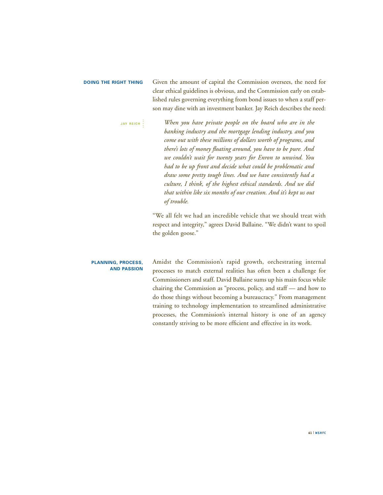#### **DOING THE RIGHT THING**

Given the amount of capital the Commission oversees, the need for clear ethical guidelines is obvious, and the Commission early on established rules governing everything from bond issues to when a staff person may dine with an investment banker. Jay Reich describes the need:

**JAY REICH**

*When you have private people on the board who are in the banking industry and the mortgage lending industry, and you come out with these millions of dollars worth of programs, and there's lots of money floating around, you have to be pure. And we couldn't wait for twenty years for Enron to unwind. You had to be up front and decide what could be problematic and draw some pretty tough lines. And we have consistently had a culture, I think, of the highest ethical standards. And we did that within like six months of our creation. And it's kept us out of trouble.*

"We all felt we had an incredible vehicle that we should treat with respect and integrity," agrees David Ballaine. "We didn't want to spoil the golden goose."

Amidst the Commission's rapid growth, orchestrating internal processes to match external realities has often been a challenge for Commissioners and staff. David Ballaine sums up his main focus while chairing the Commission as "process, policy, and staff — and how to do those things without becoming a bureaucracy." From management training to technology implementation to streamlined administrative processes, the Commission's internal history is one of an agency constantly striving to be more efficient and effective in its work. **PLANNING, PROCESS, AND PASSION**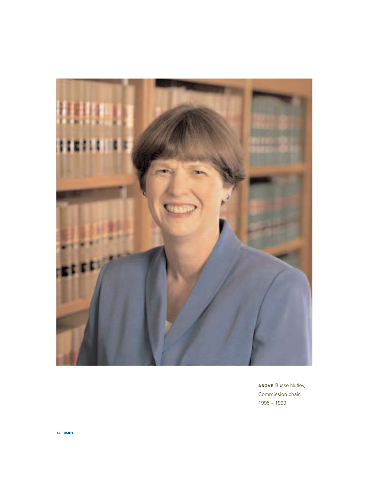

**ABOVE** Busse Nutley, Commission chair, 1995 – 1999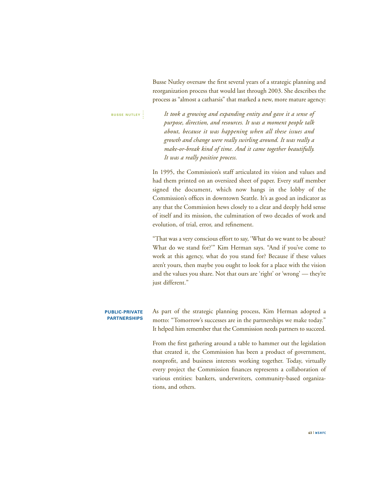Busse Nutley oversaw the first several years of a strategic planning and reorganization process that would last through 2003. She describes the process as "almost a catharsis" that marked a new, more mature agency:

**BUSSE NUTLEY**

*It took a growing and expanding entity and gave it a sense of purpose, direction, and resources. It was a moment people talk about, because it was happening when all these issues and growth and change were really swirling around. It was really a make-or-break kind of time. And it came together beautifully. It was a really positive process.*

In 1995, the Commission's staff articulated its vision and values and had them printed on an oversized sheet of paper. Every staff member signed the document, which now hangs in the lobby of the Commission's offices in downtown Seattle. It's as good an indicator as any that the Commission hews closely to a clear and deeply held sense of itself and its mission, the culmination of two decades of work and evolution, of trial, error, and refinement.

"That was a very conscious effort to say, 'What do we want to be about? What do we stand for?'" Kim Herman says. "And if you've come to work at this agency, what do you stand for? Because if these values aren't yours, then maybe you ought to look for a place with the vision and the values you share. Not that ours are 'right' or 'wrong' — they're just different."

#### **PUBLIC-PRIVATE PARTNERSHIPS**

As part of the strategic planning process, Kim Herman adopted a motto: "Tomorrow's successes are in the partnerships we make today." It helped him remember that the Commission needs partners to succeed.

From the first gathering around a table to hammer out the legislation that created it, the Commission has been a product of government, nonprofit, and business interests working together. Today, virtually every project the Commission finances represents a collaboration of various entities: bankers, underwriters, community-based organizations, and others.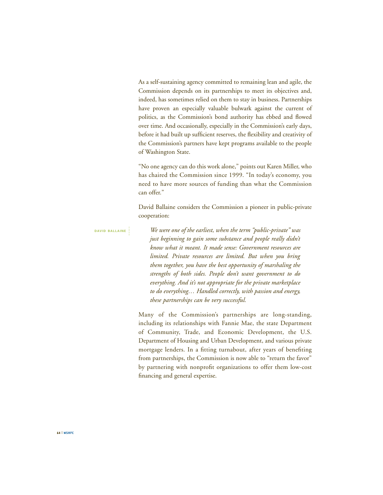As a self-sustaining agency committed to remaining lean and agile, the Commission depends on its partnerships to meet its objectives and, indeed, has sometimes relied on them to stay in business. Partnerships have proven an especially valuable bulwark against the current of politics, as the Commission's bond authority has ebbed and flowed over time. And occasionally, especially in the Commission's early days, before it had built up sufficient reserves, the flexibility and creativity of the Commission's partners have kept programs available to the people of Washington State.

"No one agency can do this work alone," points out Karen Miller, who has chaired the Commission since 1999. "In today's economy, you need to have more sources of funding than what the Commission can offer."

David Ballaine considers the Commission a pioneer in public-private cooperation:

**DAVID BALLAINE**

*We were one of the earliest, when the term "public-private" was just beginning to gain some substance and people really didn't know what it meant. It made sense: Government resources are limited. Private resources are limited. But when you bring them together, you have the best opportunity of marshaling the strengths of both sides. People don't want government to do everything. And it's not appropriate for the private marketplace to do everything… Handled correctly, with passion and energy, these partnerships can be very successful.*

Many of the Commission's partnerships are long-standing, including its relationships with Fannie Mae, the state Department of Community, Trade, and Economic Development, the U.S. Department of Housing and Urban Development, and various private mortgage lenders. In a fitting turnabout, after years of benefiting from partnerships, the Commission is now able to "return the favor" by partnering with nonprofit organizations to offer them low-cost financing and general expertise.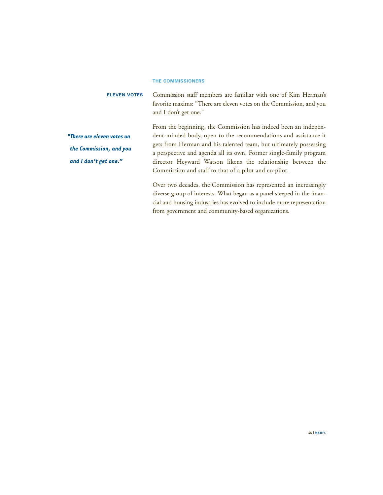#### **THE COMMISSIONERS**

| <b>ELEVEN VOTES</b>        | Commission staff members are familiar with one of Kim Herman's                                                                          |
|----------------------------|-----------------------------------------------------------------------------------------------------------------------------------------|
|                            | favorite maxims: "There are eleven votes on the Commission, and you                                                                     |
|                            | and I don't get one."                                                                                                                   |
|                            | From the beginning, the Commission has indeed been an indepen-                                                                          |
| "There are eleven votes on | dent-minded body, open to the recommendations and assistance it                                                                         |
| the Commission, and you    | gets from Herman and his talented team, but ultimately possessing<br>a perspective and agenda all its own. Former single-family program |
| and I don't get one."      | director Heyward Watson likens the relationship between the                                                                             |
|                            | Commission and staff to that of a pilot and co-pilot.                                                                                   |
|                            | Over two decades, the Commission has represented an increasingly                                                                        |
|                            | diverse group of interests. What began as a panel steeped in the finan-                                                                 |
|                            | cial and housing industries has evolved to include more representation                                                                  |
|                            | from government and community-based organizations.                                                                                      |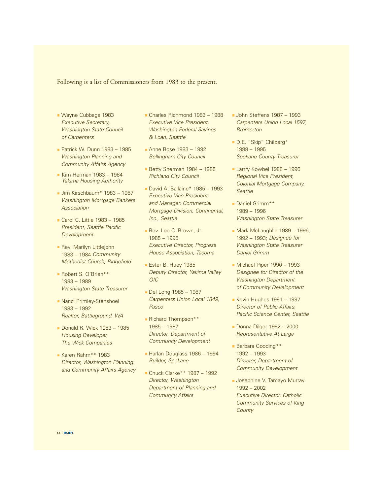Following is a list of Commissioners from 1983 to the present.

- Wayne Cubbage 1983 Executive Secretary, Washington State Council of Carpenters
- Patrick W. Dunn 1983 1985 Washington Planning and Community Affairs Agency
- Kim Herman 1983 1984 Yakima Housing Authority
- Jim Kirschbaum\* 1983 1987 Washington Mortgage Bankers **Association**
- Carol C. Little 1983 1985 President, Seattle Pacific Development
- **Rev. Marilyn Littlejohn** 1983 – 1984 Community Methodist Church, Ridgefield
- Robert S. O'Brien\*\* 1983 – 1989 Washington State Treasurer
- Nanci Primley-Stenshoel 1983 – 1992 Realtor, Battleground, WA
- Donald R. Wick 1983 1985 Housing Developer, The Wick Companies
- Karen Rahm\*\* 1983 Director, Washington Planning and Community Affairs Agency
- Charles Richmond 1983 1988 Executive Vice President, Washington Federal Savings & Loan, Seattle
- Anne Rose 1983 1992 Bellingham City Council
- Betty Sherman 1984 1985 Richland City Council
- David A. Ballaine\* 1985 1993 Executive Vice President and Manager, Commercial Mortgage Division, Continental, Inc., Seattle
- Rev. Leo C. Brown, Jr. 1985 – 1995 Executive Director, Progress House Association, Tacoma
- Ester B. Huey 1985 Deputy Director, Yakima Valley OIC
- Del Long 1985 1987 Carpenters Union Local 1849, Pasco
- Richard Thompson\*\* 1985 – 1987 Director, Department of Community Development
- Harlan Douglass 1986 1994 Builder, Spokane
- Chuck Clarke\*\* 1987 1992 Director, Washington Department of Planning and Community Affairs
- **John Steffens 1987 1993** Carpenters Union Local 1597, Bremerton
- D.E. "Skip" Chilberg\* 1988 – 1995 Spokane County Treasurer
- Larrry Kowbel 1988 1996 Regional Vice President, Colonial Mortgage Company, **Seattle**
- Daniel Grimm\*\* 1989 – 1996 Washington State Treasurer
- Mark McLaughlin 1989 1996, 1992 – 1993; Designee for Washington State Treasurer Daniel Grimm
- Michael Piper 1990 1993 Designee for Director of the Washington Department of Community Development
- Kevin Hughes 1991 1997 Director of Public Affairs, Pacific Science Center, Seattle
- Donna Dilger 1992 2000 Representative At Large
- **Barbara Gooding\*\*** 1992 – 1993 Director, Department of Community Development
- **Josephine V. Tamayo Murray** 1992 – 2002 Executive Director, Catholic Community Services of King **County**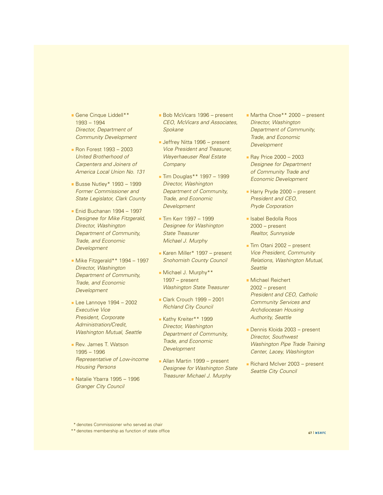- Gene Cinque Liddell\*\* 1993 – 1994 Director, Department of Community Development
- Ron Forest 1993 2003 United Brotherhood of Carpenters and Joiners of America Local Union No. 131
- Busse Nutley\* 1993 1999 Former Commissioner and State Legislator, Clark County
- Enid Buchanan 1994 1997 Designee for Mike Fitzgerald, Director, Washington Department of Community, Trade, and Economic Development
- Mike Fitzgerald\*\* 1994 1997 Director, Washington Department of Community, Trade, and Economic Development
- Lee Lannoye 1994 2002 Executive Vice President, Corporate Administration/Credit, Washington Mutual, Seattle
- **Rev. James T. Watson** 1995 – 1996 Representative of Low-income Housing Persons
- Natalie Ybarra 1995 1996 Granger City Council
- Bob McVicars 1996 present CEO, McVicars and Associates, Spokane
- Jeffrey Nitta 1996 present Vice President and Treasurer, Weyerhaeuser Real Estate **Company**
- Tim Douglas\*\* 1997 1999 Director, Washington Department of Community, Trade, and Economic Development
- Tim Kerr 1997 1999 Designee for Washington State Treasurer Michael J. Murphy
- Karen Miller\* 1997 present Snohomish County Council
- Michael J. Murphy\*\* 1997 – present Washington State Treasurer
- Clark Crouch 1999 2001 Richland City Council
- Kathy Kreiter\*\* 1999 Director, Washington Department of Community, Trade, and Economic Development
- Allan Martin 1999 present Designee for Washington State Treasurer Michael J. Murphy
- Martha Choe\*\* 2000 present Director, Washington Department of Community, Trade, and Economic Development
- **Ray Price 2000 2003** Designee for Department of Community Trade and Economic Development
- Harry Pryde 2000 present President and CEO, Pryde Corporation
- Isabel Bedolla Roos 2000 – present Realtor, Sunnyside
- Tim Otani 2002 present Vice President, Community Relations, Washington Mutual, **Seattle**
- **Michael Reichert** 2002 – present President and CEO, Catholic Community Services and Archdiocesan Housing Authority, Seattle
- Dennis Kloida 2003 present Director, Southwest Washington Pipe Trade Training Center, Lacey, Washington
- Richard McIver 2003 present Seattle City Council

- \* denotes Commissioner who served as chair
- \*\* denotes membership as function of state office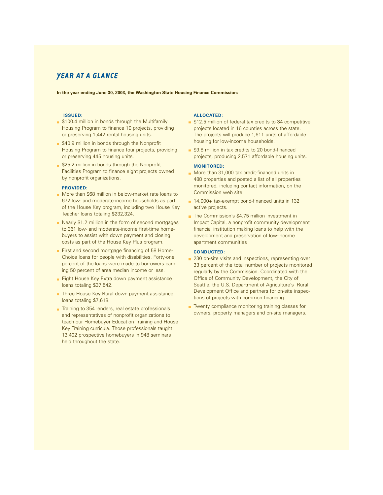### *YEAR AT A GLANCE*

**In the year ending June 30, 2003, the Washington State Housing Finance Commission:**

#### **ISSUED:**

- **\$100.4 million in bonds through the Multifamily** Housing Program to finance 10 projects, providing or preserving 1,442 rental housing units.
- **\$40.9 million in bonds through the Nonprofit** Housing Program to finance four projects, providing or preserving 445 housing units.
- **\$25.2 million in bonds through the Nonprofit** Facilities Program to finance eight projects owned by nonprofit organizations.

#### **PROVIDED:**

- More than \$68 million in below-market rate loans to 672 low- and moderate-income households as part of the House Key program, including two House Key Teacher loans totaling \$232,324.
- Nearly \$1.2 million in the form of second mortgages to 361 low- and moderate-income first-time homebuyers to assist with down payment and closing costs as part of the House Key Plus program.
- First and second mortgage financing of 58 Home-Choice loans for people with disabilities. Forty-one percent of the loans were made to borrowers earning 50 percent of area median income or less.
- **Eight House Key Extra down payment assistance** loans totaling \$37,542.
- Three House Key Rural down payment assistance loans totaling \$7,618.
- Training to 354 lenders, real estate professionals and representatives of nonprofit organizations to teach our Homebuyer Education Training and House Key Training curricula. Those professionals taught 13,402 prospective homebuyers in 948 seminars held throughout the state.

#### **ALLOCATED:**

- **\$12.5 million of federal tax credits to 34 competitive** projects located in 16 counties across the state. The projects will produce 1,611 units of affordable housing for low-income households.
- **\$9.8 million in tax credits to 20 bond-financed** projects, producing 2,571 affordable housing units.

#### **MONITORED:**

- More than 31,000 tax credit-financed units in 488 properties and posted a list of all properties monitored, including contact information, on the Commission web site.
- 14,000+ tax-exempt bond-financed units in 132 active projects.
- The Commission's \$4.75 million investment in Impact Capital, a nonprofit community development financial institution making loans to help with the development and preservation of low-income apartment communities

#### **CONDUCTED:**

- 230 on-site visits and inspections, representing over 33 percent of the total number of projects monitored regularly by the Commission. Coordinated with the Office of Community Development, the City of Seattle, the U.S. Department of Agriculture's Rural Development Office and partners for on-site inspections of projects with common financing.
- **T** Twenty compliance monitoring training classes for owners, property managers and on-site managers.